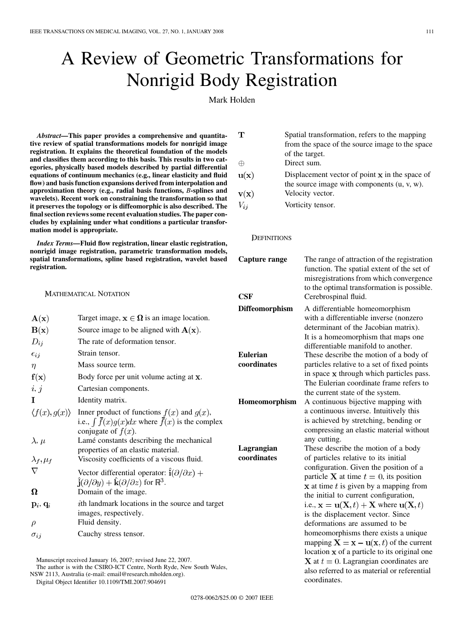# A Review of Geometric Transformations for Nonrigid Body Registration

Mark Holden

*Abstract—***This paper provides a comprehensive and quantitative review of spatial transformations models for nonrigid image registration. It explains the theoretical foundation of the models and classifies them according to this basis. This results in two categories, physically based models described by partial differential equations of continuum mechanics (e.g., linear elasticity and fluid flow) and basis function expansions derived from interpolation and approximation theory (e.g., radial basis functions,** *B***-splines and wavelets). Recent work on constraining the transformation so that it preserves the topology or is diffeomorphic is also described. The final section reviews some recent evaluation studies. The paper concludes by explaining under what conditions a particular transformation model is appropriate.**

*Index Terms—***Fluid flow registration, linear elastic registration, nonrigid image registration, parametric transformation models, spatial transformations, spline based registration, wavelet based registration.**

**MATHEMATICAL NOTATION** 

| $\mathbf{A}(\mathbf{x})$     | Target image, $\mathbf{x} \in \Omega$ is an image location.                                                                                                                     |
|------------------------------|---------------------------------------------------------------------------------------------------------------------------------------------------------------------------------|
| $\mathbf{B}(\mathbf{x})$     | Source image to be aligned with $A(x)$ .                                                                                                                                        |
| $D_{ij}$                     | The rate of deformation tensor.                                                                                                                                                 |
| $\epsilon_{ij}$              | Strain tensor.                                                                                                                                                                  |
| $\eta$                       | Mass source term.                                                                                                                                                               |
| f(x)                         | Body force per unit volume acting at x.                                                                                                                                         |
| i, j                         | Cartesian components.                                                                                                                                                           |
| т                            | Identity matrix.                                                                                                                                                                |
| $\langle f(x), g(x) \rangle$ | Inner product of functions $f(x)$ and $g(x)$ ,<br>i.e., $\int \overline{f}(x)g(x)dx$ where $\overline{f}(x)$ is the complex<br>conjugate of $f(x)$ .                            |
| $\lambda, \mu$               | Lamé constants describing the mechanical                                                                                                                                        |
|                              | properties of an elastic material.                                                                                                                                              |
| $\lambda_f, \mu_f$           | Viscosity coefficients of a viscous fluid.                                                                                                                                      |
|                              | Vector differential operator: $\hat{\mathbf{i}}(\partial/\partial x)$ +<br>$\hat{\mathbf{j}}(\partial/\partial y) + \hat{\mathbf{k}}(\partial/\partial z)$ for $\mathbb{R}^3$ . |
| Ω                            | Domain of the image.                                                                                                                                                            |
| $\mathbf{p}_i, \mathbf{q}_i$ | <i>i</i> th landmark locations in the source and target<br>images, respectively.                                                                                                |
| $\rho$                       | Fluid density.                                                                                                                                                                  |
| $\sigma_{ij}$                | Cauchy stress tensor.                                                                                                                                                           |

Manuscript received January 16, 2007; revised June 22, 2007.

The author is with the CSIRO-ICT Centre, North Ryde, New South Wales,

NSW 2113, Australia (e-mail: email@research.mholden.org).

Digital Object Identifier 10.1109/TMI.2007.904691

| T                        | Spatial transformation, refers to the mapping<br>from the space of the source image to the space<br>of the target. |
|--------------------------|--------------------------------------------------------------------------------------------------------------------|
| ⊕                        | Direct sum.                                                                                                        |
| $\mathbf{u}(\mathbf{x})$ | Displacement vector of point $x$ in the space of<br>the source image with components $(u, v, w)$ .                 |
| $\mathbf{v}(\mathbf{x})$ | Velocity vector.                                                                                                   |
| $V_{ii}$                 | Vorticity tensor.                                                                                                  |

## **DEFINITIONS**

| The range of attraction of the registration<br>function. The spatial extent of the set of<br>misregistrations from which convergence<br>to the optimal transformation is possible.<br>Cerebrospinal fluid.                                                                                                                                                                                                                                                                                                                                                                                                                                                                                                                     |
|--------------------------------------------------------------------------------------------------------------------------------------------------------------------------------------------------------------------------------------------------------------------------------------------------------------------------------------------------------------------------------------------------------------------------------------------------------------------------------------------------------------------------------------------------------------------------------------------------------------------------------------------------------------------------------------------------------------------------------|
| A differentiable homeomorphism<br>with a differentiable inverse (nonzero<br>determinant of the Jacobian matrix).<br>It is a homeomorphism that maps one<br>differentiable manifold to another.                                                                                                                                                                                                                                                                                                                                                                                                                                                                                                                                 |
| These describe the motion of a body of<br>particles relative to a set of fixed points<br>in space x through which particles pass.<br>The Eulerian coordinate frame refers to<br>the current state of the system.                                                                                                                                                                                                                                                                                                                                                                                                                                                                                                               |
| A continuous bijective mapping with<br>a continuous inverse. Intuitively this<br>is achieved by stretching, bending or<br>compressing an elastic material without<br>any cutting.                                                                                                                                                                                                                                                                                                                                                                                                                                                                                                                                              |
| These describe the motion of a body<br>of particles relative to its initial<br>configuration. Given the position of a<br>particle <b>X</b> at time $t = 0$ , its position<br>$x$ at time $t$ is given by a mapping from<br>the initial to current configuration,<br>i.e., $\mathbf{x} = \mathbf{u}(\mathbf{X}, t) + \mathbf{X}$ where $\mathbf{u}(\mathbf{X}, t)$<br>is the displacement vector. Since<br>deformations are assumed to be<br>homeomorphisms there exists a unique<br>mapping $\mathbf{X} = \mathbf{x} - \mathbf{u}(\mathbf{x}, t)$ of the current<br>location x of a particle to its original one<br>$X$ at $t = 0$ . Lagrangian coordinates are<br>also referred to as material or referential<br>coordinates. |
|                                                                                                                                                                                                                                                                                                                                                                                                                                                                                                                                                                                                                                                                                                                                |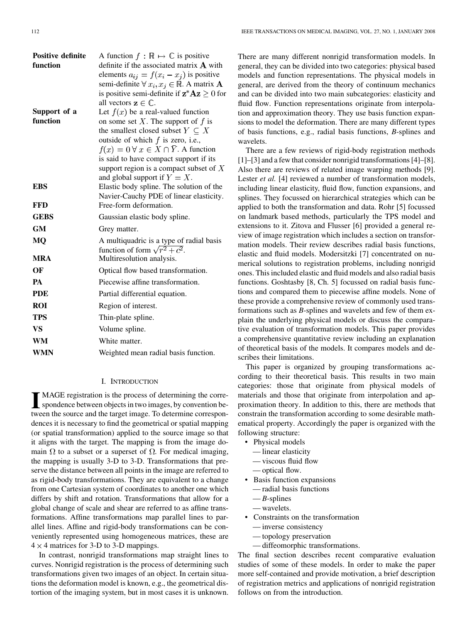| <b>Positive definite</b> | A function $f : \mathbb{R} \mapsto \mathbb{C}$ is positive          |
|--------------------------|---------------------------------------------------------------------|
| function                 | definite if the associated matrix A with                            |
|                          | elements $a_{ij} = f(x_i - x_j)$ is positive                        |
|                          | semi-definite $\forall x_i, x_j \in \mathbb{R}$ . A matrix <b>A</b> |
|                          | is positive semi-definite if $z^*A z \geq 0$ for                    |
|                          | all vectors $z \in \mathbb{C}$ .                                    |
| Support of a             | Let $f(x)$ be a real-valued function                                |
| function                 | on some set X. The support of f is                                  |
|                          | the smallest closed subset $Y \subseteq X$                          |
|                          | outside of which $f$ is zero, i.e.,                                 |
|                          | $f(x) = 0 \,\forall x \in X \cap \overline{Y}$ . A function         |
|                          | is said to have compact support if its                              |
|                          | support region is a compact subset of $X$                           |
|                          | and global support if $Y = X$ .                                     |
| <b>EBS</b>               | Elastic body spline. The solution of the                            |
|                          | Navier-Cauchy PDE of linear elasticity.                             |
| <b>FFD</b>               | Free-form deformation.                                              |
| <b>GEBS</b>              | Gaussian elastic body spline.                                       |
| <b>GM</b>                | Grey matter.                                                        |
| MQ                       | A multiquadric is a type of radial basis                            |
|                          | function of form $\sqrt{r^2+c^2}$ .                                 |
| <b>MRA</b>               | Multiresolution analysis.                                           |
| OF                       | Optical flow based transformation.                                  |
| PA                       | Piecewise affine transformation.                                    |
| <b>PDE</b>               | Partial differential equation.                                      |
| <b>ROI</b>               | Region of interest.                                                 |
| <b>TPS</b>               | Thin-plate spline.                                                  |
| <b>VS</b>                | Volume spline.                                                      |
| WM                       | White matter.                                                       |
| <b>WMN</b>               | Weighted mean radial basis function.                                |

#### I. INTRODUCTION

**I** MAGE registration is the process of determining the correspondence between objects in two images, by convention between the source and the target image. To determine correspondences it is necessary to find the geometrical or spatial mapping (or spatial transformation) applied to the source image so that it aligns with the target. The mapping is from the image domain  $\Omega$  to a subset or a superset of  $\Omega$ . For medical imaging, the mapping is usually 3-D to 3-D. Transformations that preserve the distance between all points in the image are referred to as rigid-body transformations. They are equivalent to a change from one Cartesian system of coordinates to another one which differs by shift and rotation. Transformations that allow for a global change of scale and shear are referred to as affine transformations. Affine transformations map parallel lines to parallel lines. Affine and rigid-body transformations can be conveniently represented using homogeneous matrices, these are  $4 \times 4$  matrices for 3-D to 3-D mappings.

In contrast, nonrigid transformations map straight lines to curves. Nonrigid registration is the process of determining such transformations given two images of an object. In certain situations the deformation model is known, e.g., the geometrical distortion of the imaging system, but in most cases it is unknown. There are many different nonrigid transformation models. In general, they can be divided into two categories: physical based models and function representations. The physical models in general, are derived from the theory of continuum mechanics and can be divided into two main subcategories: elasticity and fluid flow. Function representations originate from interpolation and approximation theory. They use basis function expansions to model the deformation. There are many different types of basis functions, e.g., radial basis functions, *B*-splines and wavelets.

There are a few reviews of rigid-body registration methods [1]–[3] and a few that consider nonrigid transformations [4]–[8]. Also there are reviews of related image warping methods [9]. Lester *et al.* [4] reviewed a number of transformation models, including linear elasticity, fluid flow, function expansions, and splines. They focussed on hierarchical strategies which can be applied to both the transformation and data. Rohr [5] focussed on landmark based methods, particularly the TPS model and extensions to it. Zitova and Flusser [6] provided a general review of image registration which includes a section on transformation models. Their review describes radial basis functions, elastic and fluid models. Modersitzki [7] concentrated on numerical solutions to registration problems, including nonrigid ones. This included elastic and fluid models and also radial basis functions. Goshtasby [8, Ch. 5] focussed on radial basis functions and compared them to piecewise affine models. None of these provide a comprehensive review of commonly used transformations such as *B*-splines and wavelets and few of them explain the underlying physical models or discuss the comparative evaluation of transformation models. This paper provides a comprehensive quantitative review including an explanation of theoretical basis of the models. It compares models and describes their limitations.

This paper is organized by grouping transformations according to their theoretical basis. This results in two main categories: those that originate from physical models of materials and those that originate from interpolation and approximation theory. In addition to this, there are methods that constrain the transformation according to some desirable mathematical property. Accordingly the paper is organized with the following structure:

- Physical models
	- linear elasticity
	- viscous fluid flow
	- optical flow.
- Basis function expansions — radial basis functions
	- *B*-splines
	- wavelets.
- Constraints on the transformation
	- inverse consistency
	- topology preservation
	- diffeomorphic transformations.

The final section describes recent comparative evaluation studies of some of these models. In order to make the paper more self-contained and provide motivation, a brief description of registration metrics and applications of nonrigid registration follows on from the introduction.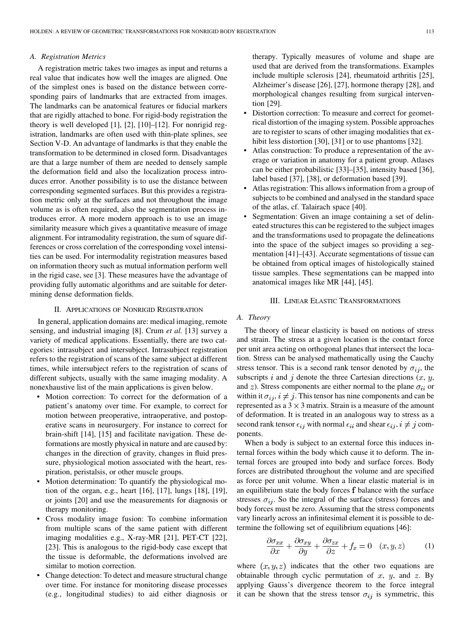#### *A. Registration Metrics*

A registration metric takes two images as input and returns a real value that indicates how well the images are aligned. One of the simplest ones is based on the distance between corresponding pairs of landmarks that are extracted from images. The landmarks can be anatomical features or fiducial markers that are rigidly attached to bone. For rigid-body registration the theory is well developed [1], [2], [10]–[12]. For nonrigid registration, landmarks are often used with thin-plate splines, see Section V-D. An advantage of landmarks is that they enable the transformation to be determined in closed form. Disadvantages are that a large number of them are needed to densely sample the deformation field and also the localization process introduces error. Another possibility is to use the distance between corresponding segmented surfaces. But this provides a registration metric only at the surfaces and not throughout the image volume as is often required, also the segmentation process introduces error. A more modern approach is to use an image similarity measure which gives a quantitative measure of image alignment. For intramodality registration, the sum of square differences or cross correlation of the corresponding voxel intensities can be used. For intermodality registration measures based on information theory such as mutual information perform well in the rigid case, see [3]. These measures have the advantage of providing fully automatic algorithms and are suitable for determining dense deformation fields.

#### II. APPLICATIONS OF NONRIGID REGISTRATION

In general, application domains are: medical imaging, remote sensing, and industrial imaging [8]. Crum *et al.* [13] survey a variety of medical applications. Essentially, there are two categories: intrasubject and intersubject. Intrasubject registration refers to the registration of scans of the same subject at different times, while intersubject refers to the registration of scans of different subjects, usually with the same imaging modality. A nonexhaustive list of the main applications is given below.

- Motion correction: To correct for the deformation of a patient's anatomy over time. For example, to correct for motion between preoperative, intraoperative, and postoperative scans in neurosurgery. For instance to correct for brain-shift [14], [15] and facilitate navigation. These deformations are mostly physical in nature and are caused by: changes in the direction of gravity, changes in fluid pressure, physiological motion associated with the heart, respiration, peristalsis, or other muscle groups.
- Motion determination: To quantify the physiological motion of the organ, e.g., heart [16], [17], lungs [18], [19], or joints [20] and use the measurements for diagnosis or therapy monitoring.
- Cross modality image fusion: To combine information from multiple scans of the same patient with different imaging modalities e.g., X-ray-MR [21], PET-CT [22], [23]. This is analogous to the rigid-body case except that the tissue is deformable, the deformations involved are similar to motion correction.
- Change detection: To detect and measure structural change over time. For instance for monitoring disease processes (e.g., longitudinal studies) to aid either diagnosis or

therapy. Typically measures of volume and shape are used that are derived from the transformations. Examples include multiple sclerosis [24], rheumatoid arthritis [25], Alzheimer's disease [26], [27], hormone therapy [28], and morphological changes resulting from surgical intervention [29].

- Distortion correction: To measure and correct for geometrical distortion of the imaging system. Possible approaches are to register to scans of other imaging modalities that exhibit less distortion [30], [31] or to use phantoms [32].
- Atlas construction: To produce a representation of the average or variation in anatomy for a patient group. Atlases can be either probabilistic [33]–[35], intensity based [36], label based [37], [38], or deformation based [39].
- Atlas registration: This allows information from a group of subjects to be combined and analysed in the standard space of the atlas, cf. Talairach space [40].
- Segmentation: Given an image containing a set of delineated structures this can be registered to the subject images and the transformations used to propagate the delineations into the space of the subject images so providing a segmentation [41]–[43]. Accurate segmentations of tissue can be obtained from optical images of histologically stained tissue samples. These segmentations can be mapped into anatomical images like MR [44], [45].

#### III. LINEAR ELASTIC TRANSFORMATIONS

### *A. Theory*

The theory of linear elasticity is based on notions of stress and strain. The stress at a given location is the contact force per unit area acting on orthogonal planes that intersect the location. Stress can be analysed mathematically using the Cauchy stress tensor. This is a second rank tensor denoted by  $\sigma_{ij}$ , the subscripts i and j denote the three Cartesian directions  $(x, y,$ and z). Stress components are either normal to the plane  $\sigma_{ii}$  or within it  $\sigma_{ij}$ ,  $i \neq j$ . This tensor has nine components and can be represented as a  $3 \times 3$  matrix. Strain is a measure of the amount of deformation. It is treated in an analogous way to stress as a second rank tensor  $\epsilon_{ij}$  with normal  $\epsilon_{ii}$  and shear  $\epsilon_{ij}$ ,  $i \neq j$  components.

When a body is subject to an external force this induces internal forces within the body which cause it to deform. The internal forces are grouped into body and surface forces. Body forces are distributed throughout the volume and are specified as force per unit volume. When a linear elastic material is in an equilibrium state the body forces  $f$  balance with the surface stresses  $\sigma_{ij}$ . So the integral of the surface (stress) forces and body forces must be zero. Assuming that the stress components vary linearly across an infinitesimal element it is possible to determine the following set of equilibrium equations [46]:

$$
\frac{\partial \sigma_{xx}}{\partial x} + \frac{\partial \sigma_{xy}}{\partial y} + \frac{\partial \sigma_{zx}}{\partial z} + f_x = 0 \quad (x, y, z) \tag{1}
$$

where  $(x, y, z)$  indicates that the other two equations are obtainable through cyclic permutation of  $x$ ,  $y$ , and  $z$ . By applying Gauss's divergence theorem to the force integral it can be shown that the stress tensor  $\sigma_{ij}$  is symmetric, this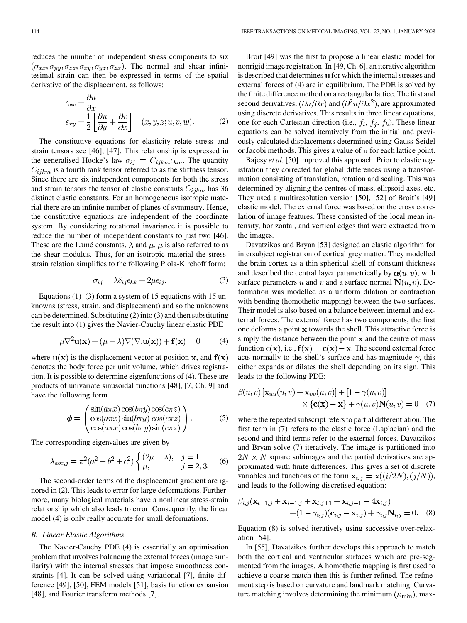reduces the number of independent stress components to six  $(\sigma_{xx}, \sigma_{yy}, \sigma_{zz}, \sigma_{xy}, \sigma_{yz}, \sigma_{zx})$ . The normal and shear infinitesimal strain can then be expressed in terms of the spatial derivative of the displacement, as follows:

$$
\epsilon_{xx} = \frac{\partial u}{\partial x} \n\epsilon_{xy} = \frac{1}{2} \left[ \frac{\partial u}{\partial y} + \frac{\partial v}{\partial x} \right] \quad (x, y, z; u, v, w).
$$
\n(2)

The constitutive equations for elasticity relate stress and strain tensors see [46], [47]. This relationship is expressed in the generalised Hooke's law  $\sigma_{ij} = C_{ijkm} \epsilon_{km}$ . The quantity  $C_{iikm}$  is a fourth rank tensor referred to as the stiffness tensor. Since there are six independent components for both the stress and strain tensors the tensor of elastic constants  $C_{ijkm}$  has 36 distinct elastic constants. For an homogeneous isotropic material there are an infinite number of planes of symmetry. Hence, the constitutive equations are independent of the coordinate system. By considering rotational invariance it is possible to reduce the number of independent constants to just two [46]. These are the Lamé constants,  $\lambda$  and  $\mu$ .  $\mu$  is also referred to as the shear modulus. Thus, for an isotropic material the stressstrain relation simplifies to the following Piola-Kirchoff form:

$$
\sigma_{ij} = \lambda \delta_{ij} \epsilon_{kk} + 2\mu \epsilon_{ij}.
$$
 (3)

Equations  $(1)$ – $(3)$  form a system of 15 equations with 15 unknowns (stress, strain, and displacement) and so the unknowns can be determined. Substituting (2) into (3) and then substituting the result into (1) gives the Navier-Cauchy linear elastic PDE

$$
\mu \nabla^2 \mathbf{u}(\mathbf{x}) + (\mu + \lambda) \nabla(\nabla \cdot \mathbf{u}(\mathbf{x})) + \mathbf{f}(\mathbf{x}) = 0 \tag{4}
$$

where  $u(x)$  is the displacement vector at position x, and  $f(x)$ denotes the body force per unit volume, which drives registration. It is possible to determine eigenfunctions of (4). These are products of univariate sinusoidal functions [48], [7, Ch. 9] and have the following form

$$
\boldsymbol{\phi} = \begin{pmatrix} \sin(a\pi x)\cos(b\pi y)\cos(c\pi z) \\ \cos(a\pi x)\sin(b\pi y)\cos(c\pi z) \\ \cos(a\pi x)\cos(b\pi y)\sin(c\pi z) \end{pmatrix} . \tag{5}
$$

The corresponding eigenvalues are given by

$$
\lambda_{abc,j} = \pi^2 (a^2 + b^2 + c^2) \begin{cases} (2\mu + \lambda), & j = 1 \\ \mu, & j = 2, 3. \end{cases}
$$
 (6)

The second-order terms of the displacement gradient are ignored in (2). This leads to error for large deformations. Furthermore, many biological materials have a nonlinear stress-strain relationship which also leads to error. Consequently, the linear model (4) is only really accurate for small deformations.

#### *B. Linear Elastic Algorithms*

The Navier-Cauchy PDE (4) is essentially an optimisation problem that involves balancing the external forces (image similarity) with the internal stresses that impose smoothness constraints [4]. It can be solved using variational [7], finite difference [49], [50], FEM models [51], basis function expansion [48], and Fourier transform methods [7].

Broit [49] was the first to propose a linear elastic model for nonrigid image registration. In [49, Ch. 6], an iterative algorithm is described that determines  $\mathbf u$  for which the internal stresses and external forces of (4) are in equilibrium. The PDE is solved by the finite difference method on a rectangular lattice. The first and second derivatives,  $\left(\frac{\partial u}{\partial x}\right)$  and  $\left(\frac{\partial^2 u}{\partial x^2}\right)$ , are approximated using discrete derivatives. This results in three linear equations, one for each Cartesian direction (i.e.,  $f_i$ ,  $f_j$ ,  $f_k$ ). These linear equations can be solved iteratively from the initial and previously calculated displacements determined using Gauss-Seidel or Jacobi methods. This gives a value of u for each lattice point.

Bajcsy *et al.* [50] improved this approach. Prior to elastic registration they corrected for global differences using a transformation consisting of translation, rotation and scaling. This was determined by aligning the centres of mass, ellipsoid axes, etc. They used a multiresolution version [50], [52] of Broit's [49] elastic model. The external force was based on the cross correlation of image features. These consisted of the local mean intensity, horizontal, and vertical edges that were extracted from the images.

Davatzikos and Bryan [53] designed an elastic algorithm for intersubject registration of cortical grey matter. They modelled the brain cortex as a thin spherical shell of constant thickness and described the central layer parametrically by  $\alpha(u, v)$ , with surface parameters u and v and a surface normal  $N(u, v)$ . Deformation was modelled as a uniform dilation or contraction with bending (homothetic mapping) between the two surfaces. Their model is also based on a balance between internal and external forces. The external force has two components, the first one deforms a point  $x$  towards the shell. This attractive force is simply the distance between the point  $x$  and the centre of mass function  $c(x)$ , i.e.,  $f(x) = c(x) - x$ . The second external force acts normally to the shell's surface and has magnitude  $\gamma$ , this either expands or dilates the shell depending on its sign. This leads to the following PDE:

$$
\beta(u, v) \left[ \mathbf{x}_{uu}(u, v) + \mathbf{x}_{vv}(u, v) \right] + \left[ 1 - \gamma(u, v) \right] \times \left\{ \mathbf{c}(\mathbf{x}) - \mathbf{x} \right\} + \gamma(u, v) \mathbf{N}(u, v) = 0 \quad (7)
$$

where the repeated subscript refers to partial differentiation. The first term in (7) refers to the elastic force (Laplacian) and the second and third terms refer to the external forces. Davatzikos and Bryan solve (7) iteratively. The image is partitioned into  $2N \times N$  square subimages and the partial derivatives are approximated with finite differences. This gives a set of discrete variables and functions of the form  $\mathbf{x}_{i,j} = \mathbf{x}((i/2N), (j/N)),$ and leads to the following discretised equation:

$$
\beta_{i,j}(\mathbf{x}_{i+1,j} + \mathbf{x}_{i-1,j} + \mathbf{x}_{i,j+1} + \mathbf{x}_{i,j-1} - 4\mathbf{x}_{i,j}) + (1 - \gamma_{i,j})(\mathbf{c}_{i,j} - \mathbf{x}_{i,j}) + \gamma_{i,j}\mathbf{N}_{i,j} = 0.
$$
 (8)

Equation (8) is solved iteratively using successive over-relaxation [54].

In [55], Davatzikos further develops this approach to match both the cortical and ventricular surfaces which are pre-segmented from the images. A homothetic mapping is first used to achieve a coarse match then this is further refined. The refinement step is based on curvature and landmark matching. Curvature matching involves determining the minimum  $(\kappa_{min})$ , max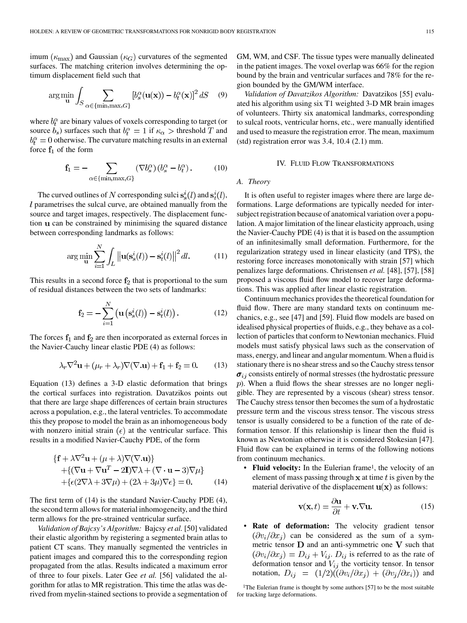imum ( $\kappa_{\text{max}}$ ) and Gaussian ( $\kappa_G$ ) curvatures of the segmented surfaces. The matching criterion involves determining the optimum displacement field such that

$$
\arg\min_{\mathbf{u}} \int_{S} \sum_{\alpha \in \{\text{min}, \text{max}, G\}} \left[ b_s^{\alpha}(\mathbf{u}(\mathbf{x})) - b_t^{\alpha}(\mathbf{x}) \right]^2 dS \quad (9)
$$

where  $b_t^{\alpha}$  are binary values of voxels corresponding to target (or source  $b_s$ ) surfaces such that  $b_t^{\alpha} = 1$  if  $\kappa_{\alpha} >$  threshold T and  $b_t^{\alpha} = 0$  otherwise. The curvature matching results in an external force  $f_1$  of the form

$$
\mathbf{f}_1 = -\sum_{\alpha \in \{\text{min}, \text{max}, G\}} (\nabla b_s^{\alpha}) (b_s^{\alpha} - b_t^{\alpha}). \tag{10}
$$

The curved outlines of N corresponding sulci  $s_s^i(l)$  and  $s_t^i(l)$ , parametrises the sulcal curve, are obtained manually from the source and target images, respectively. The displacement function **u** can be constrained by minimising the squared distance between corresponding landmarks as follows:

$$
\arg\min_{\mathbf{u}} \sum_{i=1}^{N} \int_{L} ||\mathbf{u}(\mathbf{s}_s^i(l)) - \mathbf{s}_t^i(l)||^2 dl. \tag{11}
$$

This results in a second force  $f_2$  that is proportional to the sum of residual distances between the two sets of landmarks:

$$
\mathbf{f}_2 = -\sum_{i=1}^N \left( \mathbf{u} \left( \mathbf{s}_s^i(l) \right) - \mathbf{s}_t^i(l) \right). \tag{12}
$$

The forces  $f_1$  and  $f_2$  are then incorporated as external forces in the Navier-Cauchy linear elastic PDE (4) as follows:

$$
\lambda_r \nabla^2 \mathbf{u} + (\mu_r + \lambda_r) \nabla (\nabla \cdot \mathbf{u}) + \mathbf{f}_1 + \mathbf{f}_2 = 0.
$$
 (13)

Equation (13) defines a 3-D elastic deformation that brings the cortical surfaces into registration. Davatzikos points out that there are large shape differences of certain brain structures across a population, e.g., the lateral ventricles. To accommodate this they propose to model the brain as an inhomogeneous body with nonzero initial strain  $(\epsilon)$  at the ventricular surface. This results in a modified Navier-Cauchy PDE, of the form

$$
\begin{aligned} \{\mathbf{f} + \lambda \nabla^2 \mathbf{u} + (\mu + \lambda) \nabla (\nabla \cdot \mathbf{u})\} \\ + \{ (\nabla \mathbf{u} + \nabla \mathbf{u}^T - 2\mathbf{I}) \nabla \lambda + (\nabla \cdot \mathbf{u} - 3) \nabla \mu \} \\ + \{\epsilon (2 \nabla \lambda + 3 \nabla \mu) + (2\lambda + 3\mu) \nabla \epsilon \} = 0. \end{aligned} \tag{14}
$$

The first term of (14) is the standard Navier-Cauchy PDE (4), the second term allows for material inhomogeneity, and the third term allows for the pre-strained ventricular surface.

*Validation of Bajcsy's Algorithm:* Bajcsy *et al.* [50] validated their elastic algorithm by registering a segmented brain atlas to patient CT scans. They manually segmented the ventricles in patient images and compared this to the corresponding region propagated from the atlas. Results indicated a maximum error of three to four pixels. Later Gee *et al.* [56] validated the algorithm for atlas to MR registration. This time the atlas was derived from myelin-stained sections to provide a segmentation of GM, WM, and CSF. The tissue types were manually delineated in the patient images. The voxel overlap was 66% for the region bound by the brain and ventricular surfaces and 78% for the region bounded by the GM/WM interface.

*Validation of Davatzikos Algorithm:* Davatzikos [55] evaluated his algorithm using six T1 weighted 3-D MR brain images of volunteers. Thirty six anatomical landmarks, corresponding to sulcal roots, ventricular horns, etc., were manually identified and used to measure the registration error. The mean, maximum (std) registration error was 3.4, 10.4 (2.1) mm.

## IV. FLUID FLOW TRANSFORMATIONS

## *A. Theory*

It is often useful to register images where there are large deformations. Large deformations are typically needed for intersubject registration because of anatomical variation over a population. A major limitation of the linear elasticity approach, using the Navier-Cauchy PDE (4) is that it is based on the assumption of an infinitesimally small deformation. Furthermore, for the regularization strategy used in linear elasticity (and TPS), the restoring force increases monotonically with strain [57] which penalizes large deformations. Christensen *et al.* [48], [57], [58] proposed a viscous fluid flow model to recover large deformations. This was applied after linear elastic registration.

Continuum mechanics provides the theoretical foundation for fluid flow. There are many standard texts on continuum mechanics, e.g., see [47] and [59]. Fluid flow models are based on idealised physical properties of fluids, e.g., they behave as a collection of particles that conform to Newtonian mechanics. Fluid models must satisfy physical laws such as the conservation of mass, energy, and linear and angular momentum. When a fluid is stationary there is no shear stress and so the Cauchy stress tensor  $\sigma_{ij}$  consists entirely of normal stresses (the hydrostatic pressure  $p$ ). When a fluid flows the shear stresses are no longer negligible. They are represented by a viscous (shear) stress tensor. The Cauchy stress tensor then becomes the sum of a hydrostatic pressure term and the viscous stress tensor. The viscous stress tensor is usually considered to be a function of the rate of deformation tensor. If this relationship is linear then the fluid is known as Newtonian otherwise it is considered Stokesian [47]. Fluid flow can be explained in terms of the following notions from continuum mechanics.

• **Fluid velocity:** In the Eulerian frame1, the velocity of an element of mass passing through  $x$  at time  $t$  is given by the material derivative of the displacement  $u(x)$  as follows:

$$
\mathbf{v}(\mathbf{x},t) = \frac{\partial \mathbf{u}}{\partial t} + \mathbf{v}.\nabla \mathbf{u}.
$$
 (15)

• **Rate of deformation:** The velocity gradient tensor  $(\partial v_i/\partial x_i)$  can be considered as the sum of a symmetric tensor  $D$  and an anti-symmetric one  $V$  such that  $(\partial v_i/\partial x_j) = D_{ij} + V_{ij}$ .  $D_{ij}$  is referred to as the rate of deformation tensor and  $V_{ij}$  the vorticity tensor. In tensor notation,  $D_{ij} = (1/2)((\partial v_i/\partial x_j) + (\partial v_j/\partial x_i))$  and

<sup>1</sup>The Eulerian frame is thought by some authors [57] to be the most suitable for tracking large deformations.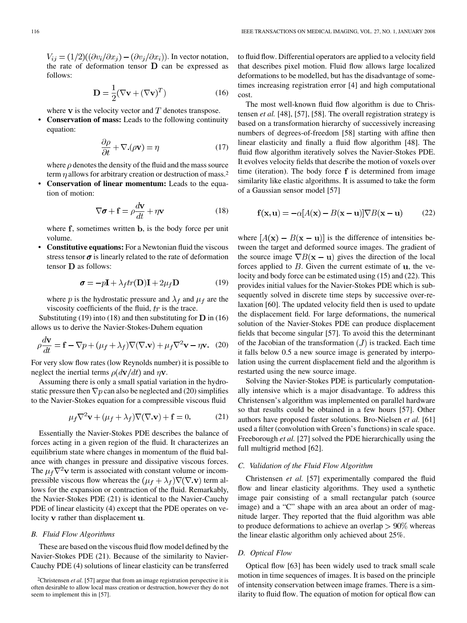$V_{ij} = (1/2)((\partial v_i/\partial x_j) - (\partial v_j/\partial x_i)).$  In vector notation, the rate of deformation tensor  $\bf{D}$  can be expressed as follows:

$$
\mathbf{D} = \frac{1}{2} (\nabla \mathbf{v} + (\nabla \mathbf{v})^T)
$$
 (16)

where  $\bf{v}$  is the velocity vector and  $T$  denotes transpose.

• **Conservation of mass:** Leads to the following continuity equation:

$$
\frac{\partial \rho}{\partial t} + \nabla \cdot (\rho \mathbf{v}) = \eta \tag{17}
$$

where  $\rho$  denotes the density of the fluid and the mass source term  $\eta$  allows for arbitrary creation or destruction of mass.<sup>2</sup>

• **Conservation of linear momentum:** Leads to the equation of motion:

$$
\nabla \sigma + \mathbf{f} = \rho \frac{d\mathbf{v}}{dt} + \eta \mathbf{v}
$$
 (18)

where  $f$ , sometimes written  $b$ , is the body force per unit volume.

• **Constitutive equations:** For a Newtonian fluid the viscous stress tensor  $\sigma$  is linearly related to the rate of deformation tensor  $\bf{D}$  as follows:

$$
\boldsymbol{\sigma} = -p\mathbf{I} + \lambda_f tr(\mathbf{D})\mathbf{I} + 2\mu_f \mathbf{D} \tag{19}
$$

where p is the hydrostatic pressure and  $\lambda_f$  and  $\mu_f$  are the viscosity coefficients of the fluid,  $tr$  is the trace.

Substituting (19) into (18) and then substituting for  $\bf{D}$  in (16) allows us to derive the Navier-Stokes-Duhem equation

$$
\rho \frac{d\mathbf{v}}{dt} = \mathbf{f} - \nabla p + (\mu_f + \lambda_f) \nabla (\nabla \cdot \mathbf{v}) + \mu_f \nabla^2 \mathbf{v} - \eta \mathbf{v}.
$$
 (20)

For very slow flow rates (low Reynolds number) it is possible to neglect the inertial terms  $\rho(d\mathbf{v}/dt)$  and  $\eta\mathbf{v}$ .

Assuming there is only a small spatial variation in the hydrostatic pressure then  $\nabla p$  can also be neglected and (20) simplifies to the Navier-Stokes equation for a compressible viscous fluid

$$
\mu_f \nabla^2 \mathbf{v} + (\mu_f + \lambda_f) \nabla(\nabla \cdot \mathbf{v}) + \mathbf{f} = 0.
$$
 (21)

Essentially the Navier-Stokes PDE describes the balance of forces acting in a given region of the fluid. It characterizes an equilibrium state where changes in momentum of the fluid balance with changes in pressure and dissipative viscous forces. The  $\mu_f \nabla^2$ **v** term is associated with constant volume or incompressible viscous flow whereas the  $(\mu_f + \lambda_f) \nabla(\nabla \cdot \mathbf{v})$  term allows for the expansion or contraction of the fluid. Remarkably, the Navier-Stokes PDE (21) is identical to the Navier-Cauchy PDE of linear elasticity (4) except that the PDE operates on velocity v rather than displacement  $\bf{u}$ .

#### *B. Fluid Flow Algorithms*

These are based on the viscous fluid flow model defined by the Navier-Stokes PDE (21). Because of the similarity to Navier-Cauchy PDE (4) solutions of linear elasticity can be transferred

to fluid flow. Differential operators are applied to a velocity field that describes pixel motion. Fluid flow allows large localized deformations to be modelled, but has the disadvantage of sometimes increasing registration error [4] and high computational cost.

The most well-known fluid flow algorithm is due to Christensen *et al.* [48], [57], [58]. The overall registration strategy is based on a transformation hierarchy of successively increasing numbers of degrees-of-freedom [58] starting with affine then linear elasticity and finally a fluid flow algorithm [48]. The fluid flow algorithm iteratively solves the Navier-Stokes PDE. It evolves velocity fields that describe the motion of voxels over time (iteration). The body force  $f$  is determined from image similarity like elastic algorithms. It is assumed to take the form of a Gaussian sensor model [57]

$$
\mathbf{f}(\mathbf{x}, \mathbf{u}) = -\alpha [A(\mathbf{x}) - B(\mathbf{x} - \mathbf{u})] \nabla B(\mathbf{x} - \mathbf{u}) \tag{22}
$$

where  $[A(x) - B(x - u)]$  is the difference of intensities between the target and deformed source images. The gradient of the source image  $\nabla B(\mathbf{x} - \mathbf{u})$  gives the direction of the local forces applied to  $B$ . Given the current estimate of  $\bf{u}$ , the velocity and body force can be estimated using (15) and (22). This provides initial values for the Navier-Stokes PDE which is subsequently solved in discrete time steps by successive over-relaxation [60]. The updated velocity field then is used to update the displacement field. For large deformations, the numerical solution of the Navier-Stokes PDE can produce displacement fields that become singular [57]. To avoid this the determinant of the Jacobian of the transformation  $(J)$  is tracked. Each time it falls below 0.5 a new source image is generated by interpolation using the current displacement field and the algorithm is restarted using the new source image.

Solving the Navier-Stokes PDE is particularly computationally intensive which is a major disadvantage. To address this Christensen's algorithm was implemented on parallel hardware so that results could be obtained in a few hours [57]. Other authors have proposed faster solutions. Bro-Nielsen *et al.* [61] used a filter (convolution with Green's functions) in scale space. Freeborough *et al.* [27] solved the PDE hierarchically using the full multigrid method [62].

## *C. Validation of the Fluid Flow Algorithm*

Christensen *et al.* [57] experimentally compared the fluid flow and linear elasticity algorithms. They used a synthetic image pair consisting of a small rectangular patch (source image) and a "C" shape with an area about an order of magnitude larger. They reported that the fluid algorithm was able to produce deformations to achieve an overlap  $> 90\%$  whereas the linear elastic algorithm only achieved about 25%.

### *D. Optical Flow*

Optical flow [63] has been widely used to track small scale motion in time sequences of images. It is based on the principle of intensity conservation between image frames. There is a similarity to fluid flow. The equation of motion for optical flow can

<sup>2</sup>Christensen *et al.* [57] argue that from an image registration perspective it is often desirable to allow local mass creation or destruction, however they do not seem to implement this in [57].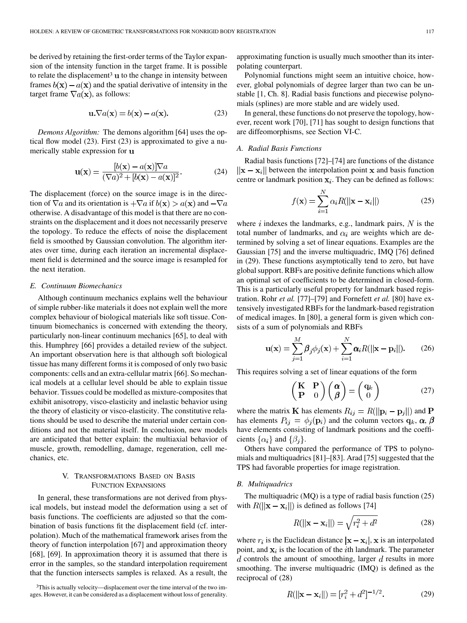be derived by retaining the first-order terms of the Taylor expansion of the intensity function in the target frame. It is possible to relate the displacement<sup>3</sup>  $\bf{u}$  to the change in intensity between frames  $b(x) - a(x)$  and the spatial derivative of intensity in the target frame  $\nabla a(\mathbf{x})$ , as follows:

$$
\mathbf{u}.\nabla a(\mathbf{x}) = b(\mathbf{x}) - a(\mathbf{x}).\tag{23}
$$

*Demons Algorithm:* The demons algorithm [64] uses the optical flow model (23). First (23) is approximated to give a numerically stable expression for

$$
\mathbf{u}(\mathbf{x}) = \frac{[b(\mathbf{x}) - a(\mathbf{x})] \nabla a}{(\nabla a)^2 + [b(\mathbf{x}) - a(\mathbf{x})]^2}.
$$
 (24)

The displacement (force) on the source image is in the direction of  $\nabla a$  and its orientation is  $+\nabla a$  if  $b(\mathbf{x}) > a(\mathbf{x})$  and  $-\nabla a$ otherwise. A disadvantage of this model is that there are no constraints on the displacement and it does not necessarily preserve the topology. To reduce the effects of noise the displacement field is smoothed by Gaussian convolution. The algorithm iterates over time, during each iteration an incremental displacement field is determined and the source image is resampled for the next iteration.

#### *E. Continuum Biomechanics*

Although continuum mechanics explains well the behaviour of simple rubber-like materials it does not explain well the more complex behaviour of biological materials like soft tissue. Continuum biomechanics is concerned with extending the theory, particularly non-linear continuum mechanics [65], to deal with this. Humphrey [66] provides a detailed review of the subject. An important observation here is that although soft biological tissue has many different forms it is composed of only two basic components: cells and an extra-cellular matrix [66]. So mechanical models at a cellular level should be able to explain tissue behavior. Tissues could be modelled as mixture-composites that exhibit anisotropy, visco-elasticity and inelastic behavior using the theory of elasticity or visco-elasticity. The constitutive relations should be used to describe the material under certain conditions and not the material itself. In conclusion, new models are anticipated that better explain: the multiaxial behavior of muscle, growth, remodelling, damage, regeneration, cell mechanics, etc.

## V. TRANSFORMATIONS BASED ON BASIS FUNCTION EXPANSIONS

In general, these transformations are not derived from physical models, but instead model the deformation using a set of basis functions. The coefficients are adjusted so that the combination of basis functions fit the displacement field (cf. interpolation). Much of the mathematical framework arises from the theory of function interpolation [67] and approximation theory [68], [69]. In approximation theory it is assumed that there is error in the samples, so the standard interpolation requirement that the function intersects samples is relaxed. As a result, the

3This is actually velocity—displacement over the time interval of the two images. However, it can be considered as a displacement without loss of generality. approximating function is usually much smoother than its interpolating counterpart.

Polynomial functions might seem an intuitive choice, however, global polynomials of degree larger than two can be unstable [1, Ch. 8]. Radial basis functions and piecewise polynomials (splines) are more stable and are widely used.

In general, these functions do not preserve the topology, however, recent work [70], [71] has sought to design functions that are diffeomorphisms, see Section VI-C.

#### *A. Radial Basis Functions*

Radial basis functions [72]–[74] are functions of the distance  $\|\mathbf{x} - \mathbf{x}_i\|$  between the interpolation point x and basis function centre or landmark position  $x_i$ . They can be defined as follows:

$$
f(\mathbf{x}) = \sum_{i=1}^{N} \alpha_i R(||\mathbf{x} - \mathbf{x}_i||)
$$
 (25)

where  $i$  indexes the landmarks, e.g., landmark pairs,  $N$  is the total number of landmarks, and  $\alpha_i$  are weights which are determined by solving a set of linear equations. Examples are the Gaussian [75] and the inverse multiquadric, IMQ [76] defined in (29). These functions asymptotically tend to zero, but have global support. RBFs are positive definite functions which allow an optimal set of coefficients to be determined in closed-form. This is a particularly useful property for landmark based registration. Rohr *et al.* [77]–[79] and Fornefett *et al.* [80] have extensively investigated RBFs for the landmark-based registration of medical images. In [80], a general form is given which consists of a sum of polynomials and RBFs

$$
\mathbf{u}(\mathbf{x}) = \sum_{j=1}^{M} \beta_j \phi_j(\mathbf{x}) + \sum_{i=1}^{N} \alpha_i R(||\mathbf{x} - \mathbf{p}_i||). \qquad (26)
$$

This requires solving a set of linear equations of the form

$$
\begin{pmatrix} \mathbf{K} & \mathbf{P} \\ \mathbf{P} & 0 \end{pmatrix} \begin{pmatrix} \boldsymbol{\alpha} \\ \boldsymbol{\beta} \end{pmatrix} = \begin{pmatrix} \mathbf{q}_k \\ 0 \end{pmatrix} \tag{27}
$$

where the matrix **K** has elements  $R_{ij} = R(||\mathbf{p}_i - \mathbf{p}_j||)$  and **P** has elements  $P_{ij} = \phi_j(\mathbf{p}_i)$  and the column vectors  $\mathbf{q}_k$ ,  $\alpha$ ,  $\beta$ have elements consisting of landmark positions and the coefficients  $\{\alpha_i\}$  and  $\{\beta_i\}$ .

Others have compared the performance of TPS to polynomials and multiquadrics [81]–[83]. Arad [75] suggested that the TPS had favorable properties for image registration.

### *B. Multiquadrics*

The multiquadric (MQ) is a type of radial basis function (25) with  $R(||\mathbf{x} - \mathbf{x}_i||)$  is defined as follows [74]

$$
R(||\mathbf{x} - \mathbf{x}_i||) = \sqrt{r_i^2 + d^2}
$$
\n(28)

where  $r_i$  is the Euclidean distance  $|\mathbf{x} - \mathbf{x}_i|$ , **x** is an interpolated point, and  $x_i$  is the location of the *i*th landmark. The parameter  $d$  controls the amount of smoothing, larger  $d$  results in more smoothing. The inverse multiquadric (IMQ) is defined as the reciprocal of (28)

$$
R(||\mathbf{x} - \mathbf{x}_i||) = [r_i^2 + d^2]^{-1/2}.
$$
 (29)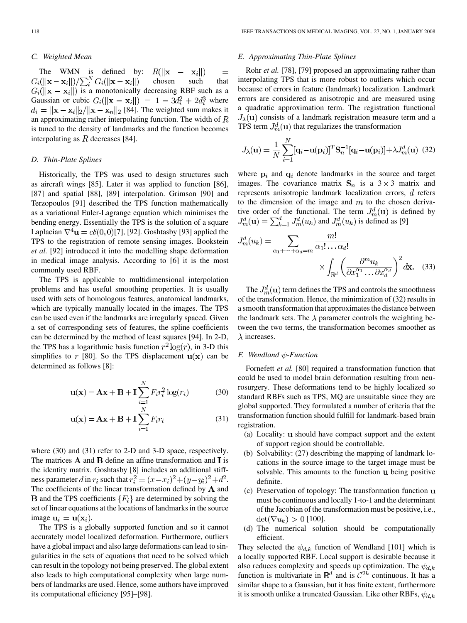## *C. Weighted Mean*

The WMN is defined by: chosen such that is a monotonically decreasing RBF such as a Gaussian or cubic  $G_i(||\mathbf{x} - \mathbf{x}_i||) = 1 - 3d_i^2 + 2d_i^3$  where  $d_i = ||\mathbf{x} - \mathbf{x}_i||_2 / ||\mathbf{x} - \mathbf{x}_n||_2$  [84]. The weighted sum makes it an approximating rather interpolating function. The width of  $R$ is tuned to the density of landmarks and the function becomes interpolating as  $R$  decreases [84].

## *D. Thin-Plate Splines*

Historically, the TPS was used to design structures such as aircraft wings [85]. Later it was applied to function [86], [87] and spatial [88], [89] interpolation. Grimson [90] and Terzopoulos [91] described the TPS function mathematically as a variational Euler-Lagrange equation which minimises the bending energy. Essentially the TPS is the solution of a square Laplacian  $\nabla^4 \mathbf{u} = c\delta(0,0)$ [7], [92]. Goshtasby [93] applied the TPS to the registration of remote sensing images. Bookstein *et al.* [92] introduced it into the modelling shape deformation in medical image analysis. According to [6] it is the most commonly used RBF.

The TPS is applicable to multidimensional interpolation problems and has useful smoothing properties. It is usually used with sets of homologous features, anatomical landmarks, which are typically manually located in the images. The TPS can be used even if the landmarks are irregularly spaced. Given a set of corresponding sets of features, the spline coefficients can be determined by the method of least squares [94]. In 2-D, the TPS has a logarithmic basis function  $r^2 \log(r)$ , in 3-D this simplifies to r [80]. So the TPS displacement  $u(x)$  can be determined as follows [8]:

$$
\mathbf{u}(\mathbf{x}) = \mathbf{A}\mathbf{x} + \mathbf{B} + \mathbf{I} \sum_{i=1}^{N} F_i r_i^2 \log(r_i)
$$
 (30)

$$
\mathbf{u}(\mathbf{x}) = \mathbf{A}\mathbf{x} + \mathbf{B} + \mathbf{I} \sum_{i=1}^{N} F_i r_i
$$
 (31)

where (30) and (31) refer to 2-D and 3-D space, respectively. The matrices  $A$  and  $B$  define an affine transformation and  $I$  is the identity matrix. Goshtasby [8] includes an additional stiffness parameter d in  $r_i$  such that  $r_i^2 = (x - x_i)^2 + (y - y_i)^2 + d^2$ . The coefficients of the linear transformation defined by  $A$  and **B** and the TPS coefficients  ${F_i}$  are determined by solving the set of linear equations at the locations of landmarks in the source image  $\mathbf{u}_i = \mathbf{u}(\mathbf{x}_i)$ .

The TPS is a globally supported function and so it cannot accurately model localized deformation. Furthermore, outliers have a global impact and also large deformations can lead to singularities in the sets of equations that need to be solved which can result in the topology not being preserved. The global extent also leads to high computational complexity when large numbers of landmarks are used. Hence, some authors have improved its computational efficiency [95]–[98].

## *E. Approximating Thin-Plate Splines*

Rohr *et al.* [78], [79] proposed an approximating rather than interpolating TPS that is more robust to outliers which occur because of errors in feature (landmark) localization. Landmark errors are considered as anisotropic and are measured using a quadratic approximation term. The registration functional  $J_{\lambda}(\mathbf{u})$  consists of a landmark registration measure term and a TPS term  $J_m^d(\mathbf{u})$  that regularizes the transformation

$$
J_{\lambda}(\mathbf{u}) = \frac{1}{N} \sum_{i=1}^{N} [\mathbf{q}_i - \mathbf{u}(\mathbf{p}_i)]^T \mathbf{S}_n^{-1} [\mathbf{q}_i - \mathbf{u}(\mathbf{p}_i)] + \lambda J_m^d(\mathbf{u}) \tag{32}
$$

where  $p_i$  and  $q_i$  denote landmarks in the source and target images. The covariance matrix  $S_n$  is a  $3 \times 3$  matrix and represents anisotropic landmark localization errors,  $d$  refers to the dimension of the image and  $m$  to the chosen derivative order of the functional. The term  $J_m^d(\mathbf{u})$  is defined by and  $J_m^d(u_k)$  is defined as [9]

$$
J_m^d(u_k) = \sum_{\alpha_1 + \dots + \alpha_d = m} \frac{m!}{\alpha_1! \dots \alpha_d!} \times \int_{\mathbb{R}^d} \left( \frac{\partial^m u_k}{\partial x_1^{\alpha_1} \dots \partial x_d^{\alpha_d}} \right)^2 d\mathbf{x}.
$$
 (33)

The  $J_m^d(\mathbf{u})$  term defines the TPS and controls the smoothness of the transformation. Hence, the minimization of (32) results in a smooth transformation that approximates the distance between the landmark sets. The  $\lambda$  parameter controls the weighting between the two terms, the transformation becomes smoother as  $\lambda$  increases.

## *F.* Wendland  $\psi$ -Function

Fornefett *et al.* [80] required a transformation function that could be used to model brain deformation resulting from neurosurgery. These deformations tend to be highly localized so standard RBFs such as TPS, MQ are unsuitable since they are global supported. They formulated a number of criteria that the transformation function should fulfill for landmark-based brain registration.

- (a) Locality:  $\bf{u}$  should have compact support and the extent of support region should be controllable.
- (b) Solvability: (27) describing the mapping of landmark locations in the source image to the target image must be solvable. This amounts to the function  $\bf{u}$  being positive definite.
- (c) Preservation of topology: The transformation function must be continuous and locally 1-to-1 and the determinant of the Jacobian of the transformation must be positive, i.e.,  $\det(\nabla u_k) > 0$  [100].
- (d) The numerical solution should be computationally efficient.

They selected the  $\psi_{d,k}$  function of Wendland [101] which is a locally supported RBF. Local support is desirable because it also reduces complexity and speeds up optimization. The  $\psi_{d,k}$ function is multivariate in  $\mathbb{R}^d$  and is  $C^{2k}$  continuous. It has a similar shape to a Gaussian, but it has finite extent, furthermore it is smooth unlike a truncated Gaussian. Like other RBFs,  $\psi_{d,k}$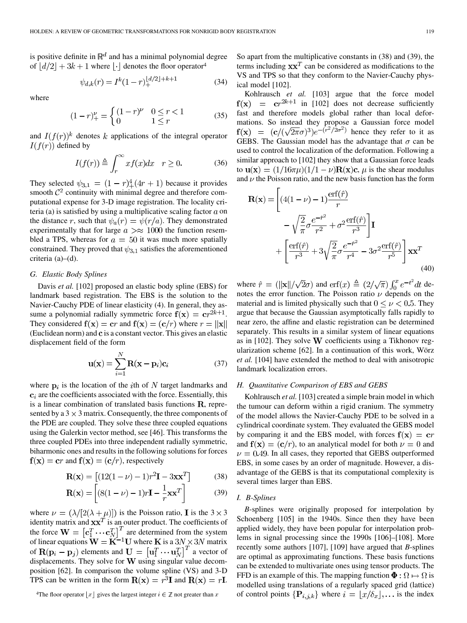is positive definite in  $\mathbb{R}^d$  and has a minimal polynomial degree of  $|d/2| + 3k + 1$  where  $|\cdot|$  denotes the floor operator<sup>4</sup>

$$
\psi_{d,k}(r) = I^k (1-r)_+^{\lfloor d/2 \rfloor + k + 1} \tag{34}
$$

where

$$
(1-r)_{+}^{\nu} = \begin{cases} (1-r)^{\nu} & 0 \le r < 1\\ 0 & 1 \le r \end{cases}
$$
 (35)

and  $I(f(r))^k$  denotes k applications of the integral operator  $I(f(r))$  defined by

$$
I(f(r)) \triangleq \int_{r}^{\infty} x f(x) dx \quad r \ge 0.
$$
 (36)

They selected  $\psi_{3,1} = (1 - r)_{+}^{4}(4r + 1)$  because it provides smooth  $\mathcal{C}^2$  continuity with minimal degree and therefore computational expense for 3-D image registration. The locality criteria (a) is satisfied by using a multiplicative scaling factor  $a$  on the distance r, such that  $\psi_a(r) = \psi(r/a)$ . They demonstrated experimentally that for large  $a > \approx 1000$  the function resembled a TPS, whereas for  $a = 50$  it was much more spatially constrained. They proved that  $\psi_{3,1}$  satisfies the aforementioned criteria (a)–(d).

## *G. Elastic Body Splines*

Davis *et al.* [102] proposed an elastic body spline (EBS) for landmark based registration. The EBS is the solution to the Navier-Cauchy PDE of linear elasticity (4). In general, they assume a polynomial radially symmetric force  $f(x) = cr^{2k+1}$ . They considered  $f(x) = cr$  and  $f(x) = (c/r)$  where  $r = ||x||$ (Euclidean norm) and  $c$  is a constant vector. This gives an elastic displacement field of the form

$$
\mathbf{u}(\mathbf{x}) = \sum_{i=1}^{N} \mathbf{R}(\mathbf{x} - \mathbf{p}_i)\mathbf{c}_i
$$
 (37)

where  $p_i$  is the location of the *i*th of N target landmarks and  **are the coefficients associated with the force. Essentially, this** is a linear combination of translated basis functions  $\bf R$ , represented by a  $3 \times 3$  matrix. Consequently, the three components of the PDE are coupled. They solve these three coupled equations using the Galerkin vector method, see [46]. This transforms the three coupled PDEs into three independent radially symmetric, biharmonic ones and results in the following solutions for forces  $f(x) = cr$  and  $f(x) = (c/r)$ , respectively

$$
\mathbf{R}(\mathbf{x}) = \left[ (12(1-\nu) - 1)r^2 \mathbf{I} - 3\mathbf{x}\mathbf{x}^T \right] \tag{38}
$$

$$
\mathbf{R}(\mathbf{x}) = \left[ (8(1 - \nu) - 1)r\mathbf{I} - \frac{1}{r}\mathbf{x}\mathbf{x}^T \right]
$$
(39)

where  $\nu = (\lambda/[2(\lambda + \mu)])$  is the Poisson ratio, **I** is the 3 × 3 identity matrix and  $xx^T$  is an outer product. The coefficients of the force  $\mathbf{W} = [\mathbf{c}_1^T \cdots \mathbf{c}_N^T]^T$  are determined from the system of linear equations  $\mathbf{W} = \mathbf{K}^{-1} \mathbf{U}$  where  $\mathbf{K}$  is a  $3N \times 3N$  matrix of  $\mathbf{R}(\mathbf{p}_i - \mathbf{p}_j)$  elements and  $\mathbf{U} = [\mathbf{u}_1^T \cdots \mathbf{u}_N^T]^T$  a vector of displacements. They solve for  $W$  using singular value decomposition [62]. In comparison the volume spline (VS) and 3-D TPS can be written in the form  $\mathbf{R}(\mathbf{x}) = r^3 \mathbf{I}$  and  $\mathbf{R}(\mathbf{x}) = r \mathbf{I}$ . So apart from the multiplicative constants in (38) and (39), the terms including  $\mathbf{x} \mathbf{x}^T$  can be considered as modifications to the VS and TPS so that they conform to the Navier-Cauchy physical model [102].

Kohlrausch *et al.* [103] argue that the force model  $f(x) = cr^{2k+1}$  in [102] does not decrease sufficiently fast and therefore models global rather than local deformations. So instead they propose a Gaussian force model  $f(x) = (c/(\sqrt{2\pi}\sigma)^3)e^{-(r^2/2\sigma^2)}$  hence they refer to it as GEBS. The Gaussian model has the advantage that  $\sigma$  can be used to control the localization of the deformation. Following a similar approach to [102] they show that a Gaussian force leads to  $\mathbf{u}(\mathbf{x}) = (1/16\pi\mu)(1/1 - \nu)\mathbf{R}(\mathbf{x})\mathbf{c}, \mu$  is the shear modulus and  $\nu$  the Poisson ratio, and the new basis function has the form

$$
\mathbf{R}(\mathbf{x}) = \left[ (4(1-\nu)-1)\frac{\mathrm{erf}(\hat{r})}{r} - \sqrt{\frac{2}{\pi}}\sigma \frac{e^{-\hat{r}^2}}{r^2} + \sigma^2 \frac{\mathrm{erf}(\hat{r})}{r^3} \right] \mathbf{I} + \left[ \frac{\mathrm{erf}(\hat{r})}{r^3} + 3\sqrt{\frac{2}{\pi}}\sigma \frac{e^{-\hat{r}^2}}{r^4} - 3\sigma^2 \frac{\mathrm{erf}(\hat{r})}{r^5} \right] \mathbf{x} \mathbf{x}^T
$$
\n(40)

where  $\hat{r} = (||\mathbf{x}||/\sqrt{2}\sigma)$  and  $\operatorname{erf}(x) \triangleq (2/\sqrt{\pi}) \int_0^x e^{-t^2} dt$  denotes the error function. The Poisson ratio  $\nu$  depends on the material and is limited physically such that  $0 \le \nu < 0.5$ . They argue that because the Gaussian asymptotically falls rapidly to near zero, the affine and elastic registration can be determined separately. This results in a similar system of linear equations as in  $[102]$ . They solve W coefficients using a Tikhonov regularization scheme [62]. In a continuation of this work, Wörz *et al.* [104] have extended the method to deal with anisotropic landmark localization errors.

#### *H. Quantitative Comparison of EBS and GEBS*

Kohlrausch *et al.* [103] created a simple brain model in which the tumour can deform within a rigid cranium. The symmetry of the model allows the Navier-Cauchy PDE to be solved in a cylindrical coordinate system. They evaluated the GEBS model by comparing it and the EBS model, with forces  $f(x) = cr$ and  $f(x) = (c/r)$ , to an analytical model for both  $\nu = 0$  and  $\nu = 0.49$ . In all cases, they reported that GEBS outperformed EBS, in some cases by an order of magnitude. However, a disadvantage of the GEBS is that its computational complexity is several times larger than EBS.

## *I. B-Splines*

*B*-splines were originally proposed for interpolation by Schoenberg [105] in the 1940s. Since then they have been applied widely, they have been popular for interpolation problems in signal processing since the 1990s [106]–[108]. More recently some authors [107], [109] have argued that *B*-splines are optimal as approximating functions. These basis functions can be extended to multivariate ones using tensor products. The FFD is an example of this. The mapping function  $\mathbf{\Phi}: \Omega \mapsto \Omega$  is modelled using translations of a regularly spaced grid (lattice) of control points  $\{P_{i,j,k}\}\$  where  $i = \lfloor x/\delta_x \rfloor, \ldots$  is the index

<sup>&</sup>lt;sup>4</sup>The floor operator  $\lfloor x \rfloor$  gives the largest integer  $i \in \mathbb{Z}$  not greater than x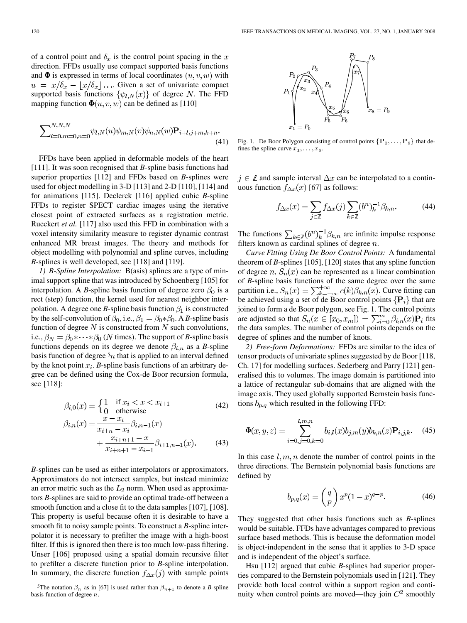of a control point and  $\delta_x$  is the control point spacing in the x direction. FFDs usually use compact supported basis functions and  $\Phi$  is expressed in terms of local coordinates  $(u, v, w)$  with  $u = x/\delta_x - \lfloor x/\delta_x \rfloor$ ... Given a set of univariate compact supported basis functions  $\{\psi_{l,N}(x)\}\$  of degree N. The FFD mapping function  $\mathbf{\Phi}(u, v, w)$  can be defined as [110]

$$
\sum_{l=0,m=0,n=0}^{N,N,N} \psi_{l,N}(u)\psi_{m,N}(v)\psi_{n,N}(w)\mathbf{P}_{i+l,j+m,k+n}.
$$
\n(41)

FFDs have been applied in deformable models of the heart [111]. It was soon recognised that *B*-spline basis functions had superior properties [112] and FFDs based on *B*-splines were used for object modelling in 3-D [113] and 2-D [110], [114] and for animations [115]. Declerck [116] applied cubic *B*-spline FFDs to register SPECT cardiac images using the iterative closest point of extracted surfaces as a registration metric. Rueckert *et al.* [117] also used this FFD in combination with a voxel intensity similarity measure to register dynamic contrast enhanced MR breast images. The theory and methods for object modelling with polynomial and spline curves, including *B*-splines is well developed, see [118] and [119].

*1) B-Spline Interpolation:* B(asis) splines are a type of minimal support spline that was introduced by Schoenberg [105] for interpolation. A *B*-spline basis function of degree zero  $\beta_0$  is a rect (step) function, the kernel used for nearest neighbor interpolation. A degree one *B*-spline basis function  $\beta_1$  is constructed by the self-convolution of  $\beta_0$ , i.e.,  $\beta_1 = \beta_0 * \beta_0$ . A *B*-spline basis function of degree  $N$  is constructed from  $N$  such convolutions, i.e.,  $\beta_N = \beta_0 * \cdots * \beta_0$  (*N* times). The support of *B*-spline basis functions depends on its degree we denote  $\beta_{i,n}$  as a *B*-spline basis function of degree  $5n$  that is applied to an interval defined by the knot point  $x_i$ . *B*-spline basis functions of an arbitrary degree can be defined using the Cox-de Boor recursion formula, see [118]:

$$
\beta_{i,0}(x) = \begin{cases} 1 & \text{if } x_i < x < x_{i+1} \\ 0 & \text{otherwise} \end{cases} \tag{42}
$$

$$
\beta_{i,n}(x) = \frac{x - x_i}{x_{i+n} - x_i} \beta_{i,n-1}(x) + \frac{x_{i+n+1} - x}{x_{i+n+1} - x_{i+1}} \beta_{i+1,n-1}(x).
$$
 (43)

*B*-splines can be used as either interpolators or approximators. Approximators do not intersect samples, but instead minimize an error metric such as the  $L_2$  norm. When used as approximators *B*-splines are said to provide an optimal trade-off between a smooth function and a close fit to the data samples [107], [108]. This property is useful because often it is desirable to have a smooth fit to noisy sample points. To construct a *B*-spline interpolator it is necessary to prefilter the image with a high-boost filter. If this is ignored then there is too much low-pass filtering. Unser [106] proposed using a spatial domain recursive filter to prefilter a discrete function prior to *B*-spline interpolation. In summary, the discrete function  $f_{\Delta x}(j)$  with sample points



Fig. 1. De Boor Polygon consisting of control points  $\{P_0, \ldots, P_9\}$  that defines the spline curve  $x_1, \ldots, x_8$ .

 $j \in \mathbb{Z}$  and sample interval  $\Delta x$  can be interpolated to a continuous function  $f_{\Delta x}(x)$  [67] as follows:

$$
f_{\Delta x}(x) = \sum_{j \in \mathbb{Z}} f_{\Delta x}(j) \sum_{k \in \mathbb{Z}} (b^n)_k^{-1} \beta_{k,n}.
$$
 (44)

The functions  $\sum_{k \in \mathbb{Z}} (b^n)_k^{-1} \beta_{k,n}$  are infinite impulse response filters known as cardinal splines of degree  $n$ .

*Curve Fitting Using De Boor Control Points:* A fundamental theorem of *B*-splines [105], [120] states that any spline function of degree  $n, S_n(x)$  can be represented as a linear combination of *B*-spline basis functions of the same degree over the same partition i.e.,  $S_n(x) = \sum_{k=-\infty}^{+\infty} c(k) \beta_{k,n}(x)$ . Curve fitting can be achieved using a set of de Boor control points  $\{P_i\}$  that are joined to form a de Boor polygon, see Fig. 1. The control points are adjusted so that  $S_n(x \in [x_0, x_m]) = \sum_{i=0}^m \beta_{i,n}(x) \mathbf{P}_i$  fits the data samples. The number of control points depends on the degree of splines and the number of knots.

*2) Free-form Deformations:* FFDs are similar to the idea of tensor products of univariate splines suggested by de Boor [118, Ch. 17] for modelling surfaces. Sederberg and Parry [121] generalised this to volumes. The image domain is partitioned into a lattice of rectangular sub-domains that are aligned with the image axis. They used globally supported Bernstein basis functions  $b_{p,q}$  which resulted in the following FFD:

$$
\Phi(x, y, z) = \sum_{i=0, j=0, k=0}^{l, m, n} b_{i,l}(x) b_{j,m}(y) b_{k,n}(z) \mathbf{P}_{i,j,k}.
$$
 (45)

In this case  $l, m, n$  denote the number of control points in the three directions. The Bernstein polynomial basis functions are defined by

$$
b_{p,q}(x) = \binom{q}{p} x^p (1-x)^{q-p}.
$$
 (46)

They suggested that other basis functions such as *B*-splines would be suitable. FFDs have advantages compared to previous surface based methods. This is because the deformation model is object-independent in the sense that it applies to 3-D space and is independent of the object's surface.

Hsu [112] argued that cubic *B*-splines had superior properties compared to the Bernstein polynomials used in [121]. They provide both local control within a support region and continuity when control points are moved—they join  $C^2$  smoothly

<sup>&</sup>lt;sup>5</sup>The notation  $\beta_n$  as in [67] is used rather than  $\beta_{n+1}$  to denote a *B*-spline basis function of degree  $n$ .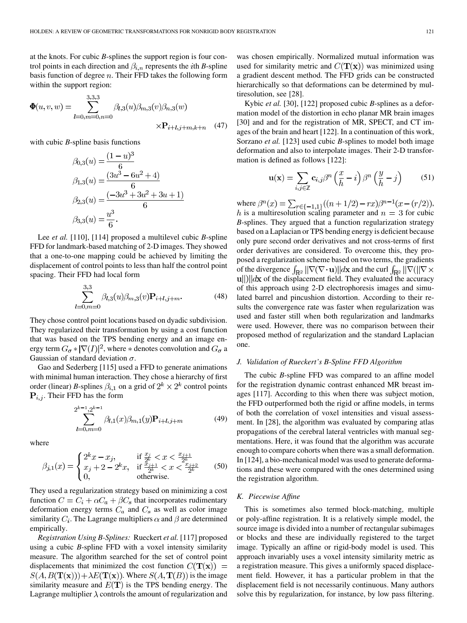at the knots. For cubic *B*-splines the support region is four control points in each direction and  $\beta_{i,n}$  represents the *i*th *B*-spline basis function of degree  $n$ . Their FFD takes the following form within the support region:

$$
\Phi(u, v, w) = \sum_{l=0, m=0, n=0}^{3,3,3} \beta_{l,3}(u) \beta_{m,3}(v) \beta_{n,3}(w)
$$

$$
\times \mathbf{P}_{i+l,j+m,k+n} \quad (47)
$$

with cubic *B*-spline basis functions

$$
\beta_{0,3}(u) = \frac{(1-u)^3}{6}
$$
  
\n
$$
\beta_{1,3}(u) = \frac{(3u^3 - 6u^2 + 4)}{6}
$$
  
\n
$$
\beta_{2,3}(u) = \frac{(-3u^3 + 3u^2 + 3u + 1)}{6}
$$
  
\n
$$
\beta_{3,3}(u) = \frac{u^3}{6}.
$$

Lee *et al.* [110], [114] proposed a multilevel cubic *B*-spline FFD for landmark-based matching of 2-D images. They showed that a one-to-one mapping could be achieved by limiting the displacement of control points to less than half the control point spacing. Their FFD had local form

$$
\sum_{l=0,m=0}^{3,3} \beta_{l,3}(u)\beta_{m,3}(v)\mathbf{P}_{i+l,j+m}.
$$
 (48)

They chose control point locations based on dyadic subdivision. They regularized their transformation by using a cost function that was based on the TPS bending energy and an image energy term  $G_{\sigma}$  \*  $|\nabla(I)|^2$ , where \* denotes convolution and  $G_{\sigma}$  a Gaussian of standard deviation  $\sigma$ .

Gao and Sederberg [115] used a FFD to generate animations with minimal human interaction. They chose a hierarchy of first order (linear) *B*-splines  $\beta_{i,1}$  on a grid of  $2^k \times 2^k$  control points  ${\bf P}_{i,j}$ . Their FFD has the form

$$
\sum_{l=0,m=0}^{2^{k-1},2^{k-1}} \beta_{l,1}(x)\beta_{m,1}(y)\mathbf{P}_{i+l,j+m}
$$
 (49)

where

$$
\beta_{j,1}(x) = \begin{cases} 2^k x - x_j, & \text{if } \frac{x_j}{2^k} < x < \frac{x_{j+1}}{2^k} \\ x_j + 2 - 2^k x, & \text{if } \frac{x_{j+1}}{2^k} < x < \frac{x_{j+2}}{2^k} \\ 0, & \text{otherwise.} \end{cases} \tag{50}
$$

They used a regularization strategy based on minimizing a cost function  $C = C_i + \alpha C_a + \beta C_s$  that incorporates rudimentary deformation energy terms  $C_a$  and  $C_s$  as well as color image similarity  $C_i$ . The Lagrange multipliers  $\alpha$  and  $\beta$  are determined empirically.

*Registration Using B-Splines:* Rueckert *et al.* [117] proposed using a cubic *B*-spline FFD with a voxel intensity similarity measure. The algorithm searched for the set of control point displacements that minimized the cost function  $C(T(\mathbf{x})) =$  $S(A, B(T(x))) + \lambda E(T(x))$ . Where  $S(A, T(B))$  is the image similarity measure and  $E(T)$  is the TPS bending energy. The Lagrange multiplier  $\lambda$  controls the amount of regularization and

was chosen empirically. Normalized mutual information was used for similarity metric and  $C(T(\mathbf{x}))$  was minimized using a gradient descent method. The FFD grids can be constructed hierarchically so that deformations can be determined by multiresolution, see [28].

Kybic *et al.* [30], [122] proposed cubic *B*-splines as a deformation model of the distortion in echo planar MR brain images [30] and and for the registration of MR, SPECT, and CT images of the brain and heart [122]. In a continuation of this work, Sorzano *et al.* [123] used cubic *B*-splines to model both image deformation and also to interpolate images. Their 2-D transformation is defined as follows [122]:

$$
\mathbf{u}(\mathbf{x}) = \sum_{i,j \in \mathbb{Z}} \mathbf{c}_{i,j} \beta^{n} \left(\frac{x}{h} - i\right) \beta^{n} \left(\frac{y}{h} - j\right) \tag{51}
$$

where  $\beta^{n}(x) = \sum_{r \in \{-1, 1\}} ((n + 1/2) - rx)\beta^{n-1}(x - (r/2)),$ is a multiresolution scaling parameter and  $n=3$  for cubic *B*-splines. They argued that a function regularization strategy based on a Laplacian or TPS bending energy is deficient because only pure second order derivatives and not cross-terms of first order derivatives are considered. To overcome this, they proposed a regularization scheme based on two terms, the gradients of the divergence  $\int_{\mathbb{R}^2} ||\nabla(\nabla \cdot \mathbf{u})|| d\mathbf{x}$  and the curl  $\int_{\mathbb{R}^2} ||\nabla(||\nabla \times$  $\mathbf{u}$ ||)|| $d\mathbf{x}$  of the displacement field. They evaluated the accuracy of this approach using 2-D electrophoresis images and simulated barrel and pincushion distortion. According to their results the convergence rate was faster when regularization was used and faster still when both regularization and landmarks were used. However, there was no comparison between their proposed method of regularization and the standard Laplacian one.

## *J. Validation of Rueckert's B-Spline FFD Algorithm*

The cubic *B*-spline FFD was compared to an affine model for the registration dynamic contrast enhanced MR breast images [117]. According to this when there was subject motion, the FFD outperformed both the rigid or affine models, in terms of both the correlation of voxel intensities and visual assessment. In [28], the algorithm was evaluated by comparing atlas propagations of the cerebral lateral ventricles with manual segmentations. Here, it was found that the algorithm was accurate enough to compare cohorts when there was a small deformation. In [124], a bio-mechanical model was used to generate deformations and these were compared with the ones determined using the registration algorithm.

### *K. Piecewise Affine*

This is sometimes also termed block-matching, multiple or poly-affine registration. It is a relatively simple model, the source image is divided into a number of rectangular subimages or blocks and these are individually registered to the target image. Typically an affine or rigid-body model is used. This approach invariably uses a voxel intensity similarity metric as a registration measure. This gives a uniformly spaced displacement field. However, it has a particular problem in that the displacement field is not necessarily continuous. Many authors solve this by regularization, for instance, by low pass filtering.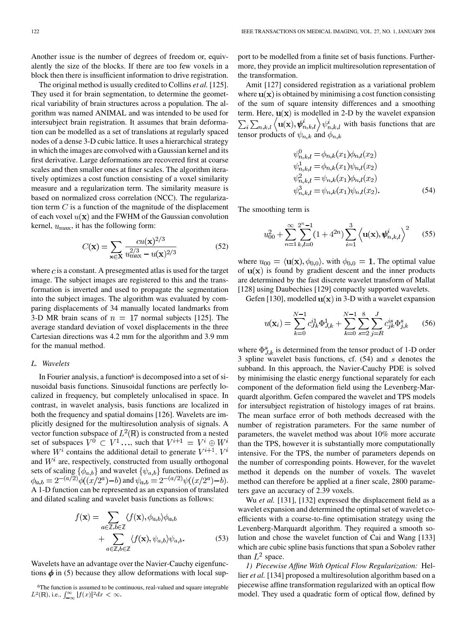Another issue is the number of degrees of freedom or, equivalently the size of the blocks. If there are too few voxels in a block then there is insufficient information to drive registration.

The original method is usually credited to Collins *et al.* [125]. They used it for brain segmentation, to determine the geometrical variability of brain structures across a population. The algorithm was named ANIMAL and was intended to be used for intersubject brain registration. It assumes that brain deformation can be modelled as a set of translations at regularly spaced nodes of a dense 3-D cubic lattice. It uses a hierarchical strategy in which the images are convolved with a Gaussian kernel and its first derivative. Large deformations are recovered first at coarse scales and then smaller ones at finer scales. The algorithm iteratively optimizes a cost function consisting of a voxel similarity measure and a regularization term. The similarity measure is based on normalized cross correlation (NCC). The regularization term  $C$  is a function of the magnitude of the displacement of each voxel  $u(\mathbf{x})$  and the FWHM of the Gaussian convolution kernel,  $u_{\text{max}}$ , it has the following form:

$$
C(\mathbf{x}) = \sum_{\mathbf{x} \in \mathbf{X}} \frac{cu(\mathbf{x})^{2/3}}{u_{\text{max}}^{2/3} - u(\mathbf{x})^{2/3}}
$$
(52)

where  $c$  is a constant. A presegmented atlas is used for the target image. The subject images are registered to this and the transformation is inverted and used to propagate the segmentation into the subject images. The algorithm was evaluated by comparing displacements of 34 manually located landmarks from 3-D MR brain scans of  $n = 17$  normal subjects [125]. The average standard deviation of voxel displacements in the three Cartesian directions was 4.2 mm for the algorithm and 3.9 mm for the manual method.

## *L. Wavelets*

In Fourier analysis, a function<sup>6</sup> is decomposed into a set of sinusoidal basis functions. Sinusoidal functions are perfectly localized in frequency, but completely unlocalised in space. In contrast, in wavelet analysis, basis functions are localized in both the frequency and spatial domains [126]. Wavelets are implicitly designed for the multiresolution analysis of signals. A vector function subspace of  $L^2(\mathbb{R})$  is constructed from a nested set of subspaces  $V^0 \subset V^1 \dots$ , such that where  $W^i$  contains the additional detail to generate  $V^{i+1}$ .  $V^i$ and  $W<sup>i</sup>$  are, respectively, constructed from usually orthogonal sets of scaling  $\{\phi_{a,b}\}\$  and wavelet  $\{\psi_{a,b}\}\$  functions. Defined as  $\phi_{a,b} = 2^{-(a/2)} \phi((x/2^a)-b)$  and  $\psi_{a,b} = 2^{-(a/2)} \psi((x/2^a)-b)$ . A 1-D function can be represented as an expansion of translated and dilated scaling and wavelet basis functions as follows:

$$
f(\mathbf{x}) = \sum_{a \in \mathbb{Z}, b \in \mathbb{Z}} \langle f(\mathbf{x}), \phi_{a,b} \rangle \phi_{a,b} + \sum_{a \in \mathbb{Z}, b \in \mathbb{Z}} \langle f(\mathbf{x}), \psi_{a,b} \rangle \psi_{a,b}.
$$
 (53)

Wavelets have an advantage over the Navier-Cauchy eigenfunctions  $\phi$  in (5) because they allow deformations with local sup-

6The function is assumed to be continuous, real-valued and square integrable  $L^2(\mathbb{R})$ , i.e.,  $\int_{-\infty}^{\infty} |f(x)|^2 dx < \infty$ .

port to be modelled from a finite set of basis functions. Furthermore, they provide an implicit multiresolution representation of the transformation.

Amit [127] considered registration as a variational problem where  $\mathbf{u}(\mathbf{x})$  is obtained by minimising a cost function consisting of the sum of square intensity differences and a smoothing term. Here,  $\mathbf{u}(\mathbf{x})$  is modelled in 2-D by the wavelet expansion with basis functions that are tensor products of  $\psi_{n,k}$  and

$$
\psi_{n,k,l}^{0} = \phi_{n,k}(x_1)\phi_{n,l}(x_2)
$$
  
\n
$$
\psi_{n,k,l}^{1} = \phi_{n,k}(x_1)\psi_{n,l}(x_2)
$$
  
\n
$$
\psi_{n,k,l}^{2} = \psi_{n,k}(x_1)\phi_{n,l}(x_2)
$$
  
\n
$$
\psi_{n,k,l}^{3} = \psi_{n,k}(x_1)\psi_{n,l}(x_2).
$$
\n(54)

The smoothing term is

$$
u_{00}^2 + \sum_{n=1}^{\infty} \sum_{k,l=0}^{2^n - 1} (1 + 4^{2n}) \sum_{i=1}^3 \left\langle \mathbf{u}(\mathbf{x}), \pmb{\psi}_{n,k,l}^i \right\rangle^2 \tag{55}
$$

where  $u_{00} = \langle \mathbf{u}(\mathbf{x}), \phi_{0,0} \rangle$ , with  $\phi_{0,0} = 1$ , The optimal value of  $u(x)$  is found by gradient descent and the inner products are determined by the fast discrete wavelet transform of Mallat [128] using Daubechies [129] compactly supported wavelets.

Gefen [130], modelled  $u(x)$  in 3-D with a wavelet expansion

$$
u(\mathbf{x}_i) = \sum_{k=0}^{N-1} c_{jk}^{i1} \Phi_{J,k}^1 + \sum_{k=0}^{N-1} \sum_{s=2}^{8} \sum_{j=R}^{J} c_{jk}^{i8} \Phi_{j,k}^s
$$
 (56)

where  $\Phi_{J,k}^{s}$  is determined from the tensor product of 1-D order 3 spline wavelet basis functions, cf.  $(54)$  and s denotes the subband. In this approach, the Navier-Cauchy PDE is solved by minimising the elastic energy functional separately for each component of the deformation field using the Levenberg-Marquardt algorithm. Gefen compared the wavelet and TPS models for intersubject registration of histology images of rat brains. The mean surface error of both methods decreased with the number of registration parameters. For the same number of parameters, the wavelet method was about 10% more accurate than the TPS, however it is substantially more computationally intensive. For the TPS, the number of parameters depends on the number of corresponding points. However, for the wavelet method it depends on the number of voxels. The wavelet method can therefore be applied at a finer scale, 2800 parameters gave an accuracy of 2.39 voxels.

Wu *et al.* [131], [132] expressed the displacement field as a wavelet expansion and determined the optimal set of wavelet coefficients with a coarse-to-fine optimisation strategy using the Levenberg-Marquardt algorithm. They required a smooth solution and chose the wavelet function of Cai and Wang [133] which are cubic spline basis functions that span a Sobolev rather than  $L^2$  space.

*1) Piecewise Affine With Optical Flow Regularization:* Hellier *et al.* [134] proposed a multiresolution algorithm based on a piecewise affine transformation regularized with an optical flow model. They used a quadratic form of optical flow, defined by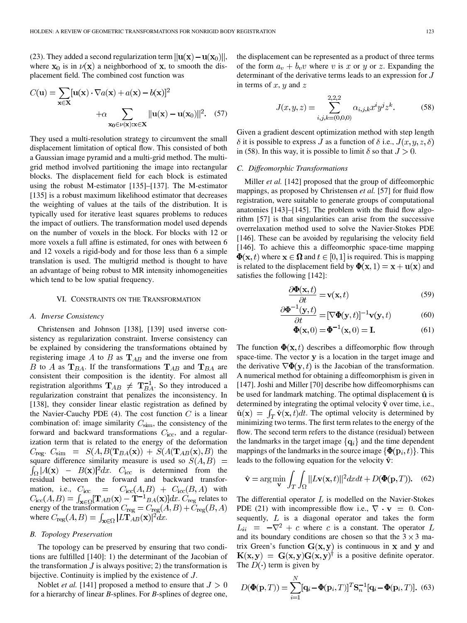(23). They added a second regularization term  $||\mathbf{u}(\mathbf{x}) - \mathbf{u}(\mathbf{x}_0)||$ , where  $x_0$  is in  $\nu(x)$  a neighborhood of x, to smooth the displacement field. The combined cost function was

$$
C(\mathbf{u}) = \sum_{\mathbf{x} \in \mathbf{X}} [\mathbf{u}(\mathbf{x}) \cdot \nabla a(\mathbf{x}) + a(\mathbf{x}) - b(\mathbf{x})]^2
$$

$$
+ \alpha \sum_{\mathbf{x}_0 \in \nu(\mathbf{x}) : \mathbf{x} \in \mathbf{X}} ||\mathbf{u}(\mathbf{x}) - \mathbf{u}(\mathbf{x}_0)||^2. \quad (57)
$$

They used a multi-resolution strategy to circumvent the small displacement limitation of optical flow. This consisted of both a Gaussian image pyramid and a multi-grid method. The multigrid method involved partitioning the image into rectangular blocks. The displacement field for each block is estimated using the robust M-estimator [135]–[137]. The M-estimator [135] is a robust maximum likelihood estimator that decreases the weighting of values at the tails of the distribution. It is typically used for iterative least squares problems to reduces the impact of outliers. The transformation model used depends on the number of voxels in the block. For blocks with 12 or more voxels a full affine is estimated, for ones with between 6 and 12 voxels a rigid-body and for those less than 6 a simple translation is used. The multigrid method is thought to have an advantage of being robust to MR intensity inhomogeneities which tend to be low spatial frequency.

## VI. CONSTRAINTS ON THE TRANSFORMATION

#### *A. Inverse Consistency*

Christensen and Johnson [138], [139] used inverse consistency as regularization constraint. Inverse consistency can be explained by considering the transformations obtained by registering image A to B as  $T_{AB}$  and the inverse one from B to A as  $T_{BA}$ . If the transformations  $T_{AB}$  and  $T_{BA}$  are consistent their composition is the identity. For almost all registration algorithms  $T_{AB} \neq T_{BA}^{-1}$ . So they introduced a regularization constraint that penalizes the inconsistency. In [138], they consider linear elastic registration as defined by the Navier-Cauchy PDE (4). The cost function  $C$  is a linear combination of: image similarity  $C_{\text{sim}}$ , the consistency of the forward and backward transformations  $C<sub>ice</sub>$ , and a regularization term that is related to the energy of the deformation  $C_{\text{reg}}$ .  $C_{\text{sim}} = S(A, B(\mathbf{T}_{BA}(\mathbf{x})) + S(A(\mathbf{T}_{AB}(\mathbf{x}), B))$  the square difference similarity measure is used so  $S(A, B)$  =  $\int_{\Omega} |A(\mathbf{x}) - B(\mathbf{x})|^2 dx$ .  $C_{\text{icc}}$  is determined from the residual between the forward and backward transformation, i.e.,  $C_{\text{icc}} = C_{\text{icc}}(A, B) + C_{\text{icc}}(B, A)$  with  $C_{\text{icc}}(A, B) = \int_{\mathbf{x} \in \Omega} [\mathbf{T}_{AB}(\mathbf{x}) - \mathbf{T}^{-1} B_{A}(\mathbf{x})] dx$ .  $C_{\text{reg}}$  relates to energy of the transformation  $C_{reg} = C_{reg}(A, B) + C_{reg}(B, A)$ where  $C_{reg}(A, B) = \int_{\mathbf{x} \in \Omega} |L \mathbf{T}_{AB}(\mathbf{x})|^2 dx$ .

## *B. Topology Preservation*

The topology can be preserved by ensuring that two conditions are fulfilled [140]: 1) the determinant of the Jacobian of the transformation  $J$  is always positive; 2) the transformation is bijective. Continuity is implied by the existence of  $J$ .

Noblet *et al.* [141] proposed a method to ensure that  $J > 0$ for a hierarchy of linear *B*-splines. For *B*-splines of degree one,

the displacement can be represented as a product of three terms of the form  $a_v + b_v v$  where v is x or y or z. Expanding the determinant of the derivative terms leads to an expression for  $J$ in terms of  $x, y$  and  $z$ 

$$
J(x, y, z) = \sum_{i, j, k = (0, 0, 0)}^{2, 2, 2} \alpha_{i, j, k} x^i y^j z^k.
$$
 (58)

Given a gradient descent optimization method with step length  $\delta$  it is possible to express J as a function of  $\delta$  i.e.,  $J(x, y, z, \delta)$ in (58). In this way, it is possible to limit  $\delta$  so that  $J > 0$ .

## *C. Diffeomorphic Transformations*

Miller *et al.* [142] proposed that the group of diffeomorphic mappings, as proposed by Christensen *et al.* [57] for fluid flow registration, were suitable to generate groups of computational anatomies [143]–[145]. The problem with the fluid flow algorithm [57] is that singularities can arise from the successive overrelaxation method used to solve the Navier-Stokes PDE [146]. These can be avoided by regularising the velocity field [146]. To achieve this a diffeomorphic space-time mapping  $\mathbf{\Phi}(\mathbf{x},t)$  where  $\mathbf{x} \in \mathbf{\Omega}$  and  $t \in [0,1]$  is required. This is mapping is related to the displacement field by  $\mathbf{\Phi}(\mathbf{x}, 1) = \mathbf{x} + \mathbf{u}(\mathbf{x})$  and satisfies the following [142]:

$$
\frac{\partial \Phi(\mathbf{x},t)}{\partial t} = \mathbf{v}(\mathbf{x},t)
$$
\n(59)

$$
\frac{\partial \mathbf{\Phi}^{-1}(\mathbf{y},t)}{\partial t} = [\nabla \mathbf{\Phi}(\mathbf{y},t)]^{-1} \mathbf{v}(\mathbf{y},t)
$$
(60)

$$
\mathbf{\Phi}(\mathbf{x},0) = \mathbf{\Phi}^{-1}(\mathbf{x},0) = \mathbf{I}.\tag{61}
$$

The function  $\mathbf{\Phi}(\mathbf{x},t)$  describes a diffeomorphic flow through space-time. The vector  $\bf{v}$  is a location in the target image and the derivative  $\nabla \Phi(\mathbf{y}, t)$  is the Jacobian of the transformation. A numerical method for obtaining a diffeomorphism is given in [147]. Joshi and Miller [70] describe how diffeomorphisms can be used for landmark matching. The optimal displacement  $\hat{u}$  is determined by integrating the optimal velocity  $\hat{v}$  over time, i.e.,  $\hat{\mathbf{u}}(\mathbf{x}) = \int_{T} \hat{\mathbf{v}}(\mathbf{x}, t) dt$ . The optimal velocity is determined by minimizing two terms. The first term relates to the energy of the flow. The second term refers to the distance (residual) between the landmarks in the target image  $\{q_i\}$  and the time dependent mappings of the landmarks in the source image  $\{\mathbf{\Phi}(\mathbf{p}_i, t)\}$ . This leads to the following equation for the velocity  $\hat{v}$ :

$$
\hat{\mathbf{v}} = \arg\min_{\mathbf{v}} \int_{T} \int_{\Omega} ||L\mathbf{v}(\mathbf{x},t)||^2 dx dt + D(\mathbf{\Phi}(\mathbf{p},T)). \quad (62)
$$

The differential operator  $L$  is modelled on the Navier-Stokes PDE (21) with incompressible flow i.e.,  $\nabla \cdot \mathbf{v} = 0$ . Consequently,  $L$  is a diagonal operator and takes the form  $L_{ii}$  =  $-\nabla^2 + c$  where c is a constant. The operator L and its boundary conditions are chosen so that the  $3 \times 3$  matrix Green's function  $G(x, y)$  is continuous in x and y and  $K(x, y) = G(x, y)G(x, y)$ <sup>†</sup> is a positive definite operator. The  $D(\cdot)$  term is given by

$$
D(\mathbf{\Phi}(\mathbf{p},T)) = \sum_{i=1}^{N} [\mathbf{q}_i - \mathbf{\Phi}(\mathbf{p}_i, T)]^T \mathbf{S}_n^{-1} [\mathbf{q}_i - \mathbf{\Phi}(\mathbf{p}_i, T)]. \tag{63}
$$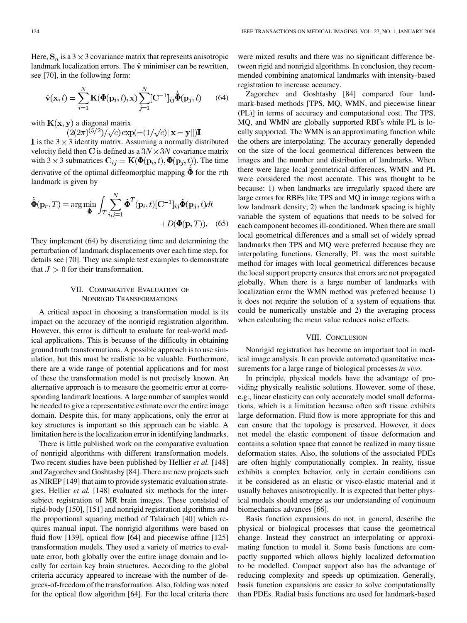Here,  $S_n$  is a 3  $\times$  3 covariance matrix that represents anisotropic landmark localization errors. The  $\hat{v}$  minimiser can be rewritten, see [70], in the following form:

$$
\hat{\mathbf{v}}(\mathbf{x},t) = \sum_{i=1}^{N} \mathbf{K}(\mathbf{\Phi}(\mathbf{p}_i,t), \mathbf{x}) \sum_{j=1}^{N} [\mathbf{C}^{-1}]_{ij} \dot{\mathbf{\Phi}}(\mathbf{p}_j,t)
$$
(64)

with  $\mathbf{K}(\mathbf{x}, \mathbf{y})$  a diagonal matrix<br> $(2(2\pi)^{(5/2)})/\sqrt{c} \exp(-(1/\sqrt{c})||\mathbf{x} - \mathbf{y}||)\mathbf{I}$ 

I is the  $3 \times 3$  identity matrix. Assuming a normally distributed velocity field then C is defined as a  $3N \times 3N$  covariance matrix with 3  $\times$  3 submatrices  $C_{ij} = K(\Phi(\mathbf{p}_i, t), \Phi(\mathbf{p}_j, t))$ . The time derivative of the optimal diffeomorphic mapping  $\ddot{\Phi}$  for the rth landmark is given by

$$
\dot{\hat{\Phi}}(\mathbf{p}_r, T) = \arg\min_{\mathbf{\Phi}} \int_T \sum_{i,j=1}^N \dot{\Phi}^T(\mathbf{p}_i, t) [\mathbf{C}^{-1}]_{ij} \dot{\Phi}(\mathbf{p}_j, t) dt + D(\Phi(\mathbf{p}, T)).
$$
 (65)

They implement (64) by discretizing time and determining the perturbation of landmark displacements over each time step, for details see [70]. They use simple test examples to demonstrate that  $J > 0$  for their transformation.

## VII. COMPARATIVE EVALUATION OF NONRIGID TRANSFORMATIONS

A critical aspect in choosing a transformation model is its impact on the accuracy of the nonrigid registration algorithm. However, this error is difficult to evaluate for real-world medical applications. This is because of the difficulty in obtaining ground truth transformations. A possible approach is to use simulation, but this must be realistic to be valuable. Furthermore, there are a wide range of potential applications and for most of these the transformation model is not precisely known. An alternative approach is to measure the geometric error at corresponding landmark locations. A large number of samples would be needed to give a representative estimate over the entire image domain. Despite this, for many applications, only the error at key structures is important so this approach can be viable. A limitation here is the localization error in identifying landmarks.

There is little published work on the comparative evaluation of nonrigid algorithms with different transformation models. Two recent studies have been published by Hellier *et al.* [148] and Zagorchev and Goshtasby [84]. There are new projects such as NIREP [149] that aim to provide systematic evaluation strategies. Hellier *et al.* [148] evaluated six methods for the intersubject registration of MR brain images. These consisted of rigid-body [150], [151] and nonrigid registration algorithms and the proportional squaring method of Talairach [40] which requires manual input. The nonrigid algorithms were based on fluid flow [139], optical flow [64] and piecewise affine [125] transformation models. They used a variety of metrics to evaluate error, both globally over the entire image domain and locally for certain key brain structures. According to the global criteria accuracy appeared to increase with the number of degrees-of-freedom of the transformation. Also, folding was noted for the optical flow algorithm [64]. For the local criteria there

were mixed results and there was no significant difference between rigid and nonrigid algorithms. In conclusion, they recommended combining anatomical landmarks with intensity-based registration to increase accuracy.

Zagorchev and Goshtasby [84] compared four landmark-based methods [TPS, MQ, WMN, and piecewise linear (PL)] in terms of accuracy and computational cost. The TPS, MQ, and WMN are globally supported RBFs while PL is locally supported. The WMN is an approximating function while the others are interpolating. The accuracy generally depended on the size of the local geometrical differences between the images and the number and distribution of landmarks. When there were large local geometrical differences, WMN and PL were considered the most accurate. This was thought to be because: 1) when landmarks are irregularly spaced there are large errors for RBFs like TPS and MQ in image regions with a low landmark density; 2) when the landmark spacing is highly variable the system of equations that needs to be solved for each component becomes ill-conditioned. When there are small local geometrical differences and a small set of widely spread landmarks then TPS and MQ were preferred because they are interpolating functions. Generally, PL was the most suitable method for images with local geometrical differences because the local support property ensures that errors are not propagated globally. When there is a large number of landmarks with localization error the WMN method was preferred because 1) it does not require the solution of a system of equations that could be numerically unstable and 2) the averaging process when calculating the mean value reduces noise effects.

## VIII. CONCLUSION

Nonrigid registration has become an important tool in medical image analysis. It can provide automated quantitative measurements for a large range of biological processes *in vivo*.

In principle, physical models have the advantage of providing physically realistic solutions. However, some of these, e.g., linear elasticity can only accurately model small deformations, which is a limitation because often soft tissue exhibits large deformation. Fluid flow is more appropriate for this and can ensure that the topology is preserved. However, it does not model the elastic component of tissue deformation and contains a solution space that cannot be realized in many tissue deformation states. Also, the solutions of the associated PDEs are often highly computationally complex. In reality, tissue exhibits a complex behavior, only in certain conditions can it be considered as an elastic or visco-elastic material and it usually behaves anisotropically. It is expected that better physical models should emerge as our understanding of continuum biomechanics advances [66].

Basis function expansions do not, in general, describe the physical or biological processes that cause the geometrical change. Instead they construct an interpolating or approximating function to model it. Some basis functions are compactly supported which allows highly localized deformation to be modelled. Compact support also has the advantage of reducing complexity and speeds up optimization. Generally, basis function expansions are easier to solve computationally than PDEs. Radial basis functions are used for landmark-based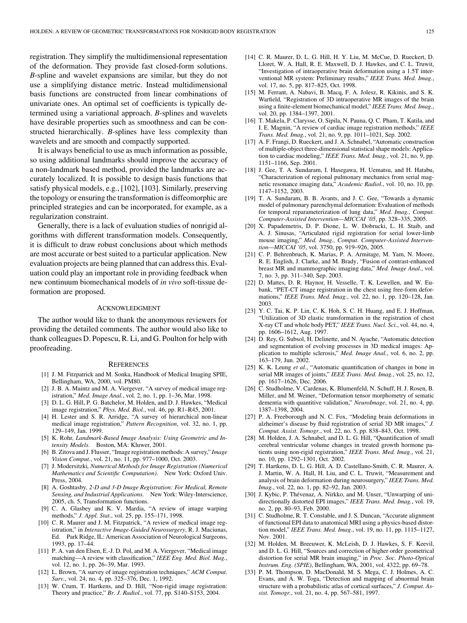registration. They simplify the multidimensional representation of the deformation. They provide fast closed-form solutions. *B*-spline and wavelet expansions are similar, but they do not use a simplifying distance metric. Instead multidimensional basis functions are constructed from linear combinations of univariate ones. An optimal set of coefficients is typically determined using a variational approach. *B*-splines and wavelets have desirable properties such as smoothness and can be constructed hierarchically. *B*-splines have less complexity than wavelets and are smooth and compactly supported.

It is always beneficial to use as much information as possible, so using additional landmarks should improve the accuracy of a non-landmark based method, provided the landmarks are accurately localized. It is possible to design basis functions that satisfy physical models, e.g., [102], [103]. Similarly, preserving the topology or ensuring the transformation is diffeomorphic are principled strategies and can be incorporated, for example, as a regularization constraint.

Generally, there is a lack of evaluation studies of nonrigid algorithms with different transformation models. Consequently, it is difficult to draw robust conclusions about which methods are most accurate or best suited to a particular application. New evaluation projects are being planned that can address this. Evaluation could play an important role in providing feedback when new continuum biomechanical models of *in vivo* soft-tissue deformation are proposed.

## ACKNOWLEDGMENT

The author would like to thank the anonymous reviewers for providing the detailed comments. The author would also like to thank colleagues D. Popescu, R. Li, and G. Poulton for help with proofreading.

#### **REFERENCES**

- [1] J. M. Fitzpatrick and M. Sonka, Handbook of Medical Imaging SPIE, Bellingham, WA, 2000, vol. PM80.
- [2] J. B. A. Maintz and M. A. Viergever, "A survey of medical image registration," *Med. Image Anal.*, vol. 2, no. 1, pp. 1–36, Mar. 1998.
- [3] D. L. G. Hill, P. G. Batchelor, M. Holden, and D. J. Hawkes, "Medical image registration," *Phys. Med. Biol.*, vol. 46, pp. R1–R45, 2001.
- [4] H. Lester and S. R. Arridge, "A survey of hierarchical non-linear medical image registration," *Pattern Recognition*, vol. 32, no. 1, pp. 129–149, Jan. 1999.
- [5] K. Rohr*, Landmark-Based Image Analysis: Using Geometric and Intensity Models*. Boston, MA: Kluwer, 2001.
- [6] B. Zitova and J. Flusser, "Image registration methods: A survey," *Image Vision Comput.*, vol. 21, no. 11, pp. 977–1000, Oct. 2003.
- [7] J. Modersitzki*, Numerical Methods for Image Registration (Numerical Mathematics and Scientific Computation)*. New York: Oxford Univ. Press, 2004.
- [8] A. Goshtasby*, 2-D and 3-D Image Registration: For Medical, Remote Sensing, and Industrial Applications*. New York: Wiley-Interscience, 2005, ch. 5, Transformation functions.
- [9] C. A. Glasbey and K. V. Mardia, "A review of image warping methods," *J. Appl. Stat.*, vol. 25, pp. 155–171, 1998.
- [10] C. R. Maurer and J. M. Fitzpatrick, "A review of medical image registration," in *Interactive Image-Guided Neurosurgery*, R. J. Maciunas, Ed. Park Ridge, IL: American Association of Neurological Surgeons, 1993, pp. 17–44.
- [11] P. A. van den Elsen, E.-J. D. Pol, and M. A. Viergever, "Medical image matching—A review with classification," *IEEE Eng. Med. Biol. Mag.*, vol. 12, no. 1, pp. 26–39, Mar. 1993.
- [12] L. Brown, "A survey of image registration techniques," *ACM Comput. Surv.*, vol. 24, no. 4, pp. 325–376, Dec. 1, 1992.
- [13] W. Crum, T. Hartkens, and D. Hill, "Non-rigid image registration: Theory and practice," *Br. J. Radiol.*, vol. 77, pp. S140–S153, 2004.
- [14] C. R. Maurer, D. L. G. Hill, H. Y. Liu, M. McCue, D. Rueckert, D. Lloret, W. A. Hall, R. E. Maxwell, D. J. Hawkes, and C. L. Truwit, "Investigation of intraoperative brain deformation using a 1.5T interventional MR system: Preliminary results," *IEEE Trans. Med. Imag.*, vol. 17, no. 5, pp. 817–825, Oct. 1998.
- [15] M. Ferrant, A. Nabavi, B. Macq, F. A. Jolesz, R. Kikinis, and S. K. Warfield, "Registration of 3D intraoperative MR images of the brain using a finite-element biomechanical model," *IEEE Trans. Med. Imag.*, vol. 20, pp. 1384–1397, 2001.
- [16] T. Makela, P. Clarysse, O. Sipila, N. Pauna, Q. C. Pham, T. Katila, and I. E. Magnin, "A review of cardiac image registration methods," *IEEE Trans. Med. Imag.*, vol. 21, no. 9, pp. 1011–1021, Sep. 2002.
- [17] A. F. Frangi, D. Rueckert, and J. A. Schnabel, "Automatic construction of multiple-object three-dimensional statistical shape models: Application to cardiac modeling," *IEEE Trans. Med. Imag.*, vol. 21, no. 9, pp. 1151–1166, Sep. 2001.
- [18] J. Gee, T. A. Sundaram, I. Hasegawa, H. Uematsu, and H. Hatabu, "Characterization of regional pulmonary mechanics from serial magnetic resonance imaging data," *Academic Radiol.*, vol. 10, no. 10, pp. 1147–1152, 2003.
- [19] T. A. Sundaram, B. B. Avants, and J. C. Gee, "Towards a dynamic model of pulmonary parenchymal deformation: Evaluation of methods for temporal reparameterization of lung data," *Med. Imag., Comput. Computer-Assisted Intervention—MICCAI '05*, pp. 328–335, 2005.
- [20] X. Papademetris, D. P. Dione, L. W. Dobrucki, L. H. Staib, and A. J. Sinusas, "Articulated rigid registration for serial lower-limb mouse imaging," *Med. Imag., Comput. Computer-Assisted Intervention—MICCAI '05*, vol. 3750, pp. 919–926, 2005.
- [21] C. P. Behrenbruch, K. Marias, P. A. Armitage, M. Yam, N. Moore, R. E. English, J. Clarke, and M. Brady, "Fusion of contrast-enhanced breast MR and mammographic imaging data," *Med. Image Anal.*, vol. 7, no. 3, pp. 311–340, Sep. 2003.
- [22] D. Mattes, D. R. Haynor, H. Vesselle, T. K. Lewellen, and W. Eubank, "PET-CT image registration in the chest using free-form deformations," *IEEE Trans. Med. Imag.*, vol. 22, no. 1, pp. 120–128, Jan. 2003.
- [23] Y. C. Tai, K. P. Lin, C. K. Hoh, S. C. H. Huang, and E. J. Hoffman, "Utilization of 3D elastic transformation in the registration of chest X-ray CT and whole body PET," *IEEE Trans. Nucl. Sci.*, vol. 44, no. 4, pp. 1606–1612, Aug. 1997.
- [24] D. Rey, G. Subsol, H. Delinette, and N. Ayache, "Automatic detection and segmentation of evolving processes in 3D medical images: Application to multiple sclerosis," *Med. Image Anal.*, vol. 6, no. 2, pp. 163–179, Jun. 2002.
- [25] K. K. Leung et al., "Automatic quantification of changes in bone in serial MR images of joints," *IEEE Trans. Med. Imag.*, vol. 25, no. 12, pp. 1617–1626, Dec. 2006.
- [26] C. Studholme, V. Cardenas, K. Blumenfeld, N. Schuff, H. J. Rosen, B. Miller, and M. Weiner, "Deformation tensor morphometry of sematic dementia with quantitive validation," *NeuroImage*, vol. 21, no. 4, pp. 1387–1398, 2004.
- [27] P. A. Freeborough and N. C. Fox, "Modeling brain deformations in alzheimer's disease by fluid registration of serial 3D MR images," *J. Comput. Assist. Tomogr.*, vol. 22, no. 5, pp. 838–843, Oct. 1998.
- [28] M. Holden, J. A. Schnabel, and D. L. G. Hill, "Quantification of small cerebral ventricular volume changes in treated growth hormone patients using non-rigid registration," *IEEE Trans. Med. Imag.*, vol. 21, no. 10, pp. 1292–1301, Oct. 2002.
- [29] T. Hartkens, D. L. G. Hill, A. D. Castellano-Smith, C. R. Maurer, A. J. Martin, W. A. Hall, H. Liu, and C. L. Truwit, "Measurement and analysis of brain deformation during neurosurgery," *IEEE Trans. Med. Imag.*, vol. 22, no. 1, pp. 82–92, Jan. 2003.
- [30] J. Kybic, P. Thévenaz, A. Nirkko, and M. Unser, "Unwarping of unidirectionally distorted EPI images," *IEEE Trans. Med. Imag.*, vol. 19, no. 2, pp. 80–93, Feb. 2000.
- [31] C. Studholme, R. T. Constable, and J. S. Duncan, "Accurate alignment of functional EPI data to anatomical MRI using a physics-based distortion model," *IEEE Trans. Med. Imag.*, vol. 19, no. 11, pp. 1115–1127, Nov. 2001.
- [32] M. Holden, M. Breeuwer, K. McLeish, D. J. Hawkes, S. F. Keevil, and D. L. G. Hill, "Sources and correction of higher order geometrical distortion for serial MR brain imaging," in *Proc. Soc. Photo-Optical Instrum. Eng. (SPIE)*, Bellingham, WA, 2001, vol. 4322, pp. 69–78.
- [33] P. M. Thompson, D. MacDonald, M. S. Mega, C. J. Holmes, A. C. Evans, and A. W. Toga, "Detection and mapping of abnormal brain structure with a probabilistic atlas of cortical surfaces," *J. Comput. Assist. Tomogr.*, vol. 21, no. 4, pp. 567–581, 1997.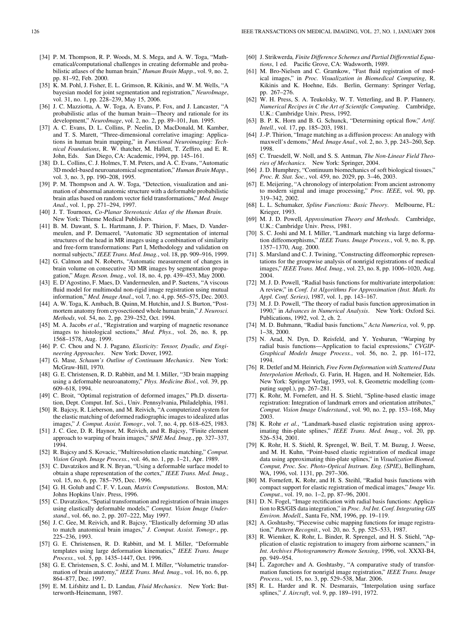- [34] P. M. Thompson, R. P. Woods, M. S. Mega, and A. W. Toga, "Mathematical/computational challenges in creating deformable and probabilistic atlases of the human brain," *Human Brain Mapp.*, vol. 9, no. 2, pp. 81–92, Feb. 2000.
- [35] K. M. Pohl, J. Fisher, E. L. Grimson, R. Kikinis, and W. M. Wells, "A bayesian model for joint segmentation and registration," *NeuroImage*, vol. 31, no. 1, pp. 228–239, May 15, 2006.
- [36] J. C. Mazziotta, A. W. Toga, A. Evans, P. Fox, and J. Lancaster, "A probabilistic atlas of the human brain—Theory and rationale for its development," *NeuroImage*, vol. 2, no. 2, pp. 89–101, Jun. 1995.
- [37] A. C. Evans, D. L. Collins, P. Neelin, D. MacDonald, M. Kamber, and T. S. Marett, "Three-dimensional correlative imaging: Applications in human brain mapping," in *Functional Neuroimaging: Technical Foundations*, R. W. thatcher, M. Hallett, T. Zeffiro, and E. R. John, Eds. San Diego, CA: Academic, 1994, pp. 145–161.
- [38] D. L. Collins, C. J. Holmes, T. M. Peters, and A. C. Evans, "Automatic 3D model-based neuroanatomical segmentation," *Human Brain Mapp.*, vol. 3, no. 3, pp. 190–208, 1995.
- [39] P. M. Thompson and A. W. Toga, "Detection, visualization and animation of abnormal anatomic structure with a deformable probabilistic brain atlas based on random vector field transformations," *Med. Image Anal.*, vol. 1, pp. 271–294, 1997.
- [40] J. T. Tournoux*, Co-Planar Stereotaxic Atlas of the Human Brain*. New York: Thieme Medical Publishers.
- [41] B. M. Dawant, S. L. Hartmann, J. P. Thirion, F. Maes, D. Vandermeulen, and P. Demaerel, "Automatic 3D segmentation of internal structures of the head in MR images using a combination of similarity and free-form transformations: Part I, Methodology and validation on normal subjects," *IEEE Trans. Med. Imag.*, vol. 18, pp. 909–916, 1999.
- [42] G. Calmon and N. Roberts, "Automatic measurement of changes in brain volume on consecutive 3D MR images by segmentation propagation," *Magn. Reson. Imag.*, vol. 18, no. 4, pp. 439–453, May 2000.
- [43] E. D'Agostino, F. Maes, D. Vandermeulen, and P. Suetens, "A viscous fluid model for multimodal non-rigid image registration using mutual information," *Med. Image Anal.*, vol. 7, no. 4, pp. 565–575, Dec. 2003.
- [44] A. W. Toga, K. Ambach, B. Quinn, M. Hutchin, and J. S. Burton, "Postmortem anatomy from cryosectioned whole human brain," *J. Neurosci. Methods*, vol. 54, no. 2, pp. 239–252, Oct. 1994.
- [45] M. A. Jacobs *et al.*, "Registration and warping of magnetic resonance images to histological sections," *Med. Phys.*, vol. 26, no. 8, pp. 1568–1578, Aug. 1999.
- [46] P. C. Chou and N. J. Pagano*, Elasticity: Tensor, Dyadic, and Engineering Approaches*. New York: Dover, 1992.
- [47] G. Mase*, Schaum's Outline of Continuum Mechanics*. New York: McGraw-Hill, 1970.
- [48] G. E. Christensen, R. D. Rabbitt, and M. I. Miller, "3D brain mapping using a deformable neuroanatomy," *Phys. Medicine Biol.*, vol. 39, pp. 609–618, 1994.
- [49] C. Broit, "Optimal registration of deformed images," Ph.D. dissertation, Dept. Comput. Inf. Sci., Univ. Pennsylvania, Philadelphia, 1981.
- [50] R. Bajcsy, R. Lieberson, and M. Reivich, "A computerized system for the elastic matching of deformed radiographic images to idealized atlas images," *J. Comput. Assist. Tomogr.*, vol. 7, no. 4, pp. 618–625, 1983.
- [51] J. C. Gee, D. R. Haynor, M. Reivich, and R. Bajcsy, "Finite element approach to warping of brain images," *SPIE Med. Imag.*, pp. 327–337, 1994.
- [52] R. Bajcsy and S. Kovacic, "Multiresolution elastic matching," *Comput. Vision Graph. Image Process.*, vol. 46, no. 1, pp. 1–21, Apr. 1989.
- [53] C. Davatzikos and R. N. Bryan, "Using a deformable surface model to obtain a shape representation of the cortex," *IEEE Trans. Med. Imag.*, vol. 15, no. 6, pp. 785–795, Dec. 1996.
- [54] G. H. Golub and C. F. V. Loan*, Matrix Computations*. Boston, MA: Johns Hopkins Univ. Press, 1996.
- [55] C. Davatzikos, "Spatial transformation and registration of brain images using elastically deformable models," *Comput. Vision Image Understand.*, vol. 66, no. 2, pp. 207–222, May 1997.
- [56] J. C. Gee, M. Reivich, and R. Bajcsy, "Elastically deforming 3D atlas to match anatomical brain images," *J. Comput. Assist. Tomogr.*, pp. 225–236, 1993.
- [57] G. E. Christensen, R. D. Rabbitt, and M. I. Miller, "Deformable templates using large deformation kinematics," *IEEE Trans. Image Process.*, vol. 5, pp. 1435–1447, Oct. 1996.
- [58] G. E. Christensen, S. C. Joshi, and M. I. Miller, "Volumetric transformation of brain anatomy," *IEEE Trans. Med. Imag.*, vol. 16, no. 6, pp. 864–877, Dec. 1997.
- [59] E. M. Lifshitz and L. D. Landau*, Fluid Mechanics*. New York: Butterworth-Heinemann, 1987.
- [60] J. Strikwerda*, Finite Difference Schemes and Partial Differential Equations*, 1 ed. Pacific Grove, CA: Wadsworth, 1989.
- [61] M. Bro-Nielsen and C. Gramkow, "Fast fluid registration of medical images," in *Proc. Visualization in Biomedical Computing*, R. Kikinis and K. Hoehne, Eds. Berlin, Germany: Springer Verlag, pp. 267–276.
- [62] W. H. Press, S. A. Teukolsky, W. T. Vetterling, and B. P. Flannery*, Numerical Recipes in C the Art of Scientific Computing*. Cambridge, U.K.: Cambridge Univ. Press, 1992.
- [63] B. P. K. Horn and B. G. Schunck, "Determining optical flow," *Artif. Intell.*, vol. 17, pp. 185–203, 1981.
- [64] J.-P. Thirion, "Image matching as a diffusion process: An analogy with maxwell's demons," *Med. Image Anal.*, vol. 2, no. 3, pp. 243–260, Sep. 1998.
- [65] C. Truesdell, W. Noll, and S. S. Antman*, The Non-Linear Field Theories of Mechanics*. New York: Springer, 2004.
- [66] J. D. Humphrey, "Continuum biomechanics of soft biological tissues," *Proc. R. Stat. Soc.*, vol. 459, no. 2029, pp. 3–46, 2003.
- [67] E. Meijering, "A chronology of interpolation: From ancient astronomy to modern signal and image processing," *Proc. IEEE*, vol. 90, pp. 319–342, 2002.
- [68] L. L. Schumaker*, Spline Functions: Basic Theory*. Melbourne, FL: Krieger, 1993.
- [69] M. J. D. Powell*, Approximation Theory and Methods*. Cambridge, U.K.: Cambridge Univ. Press, 1981.
- [70] S. C. Joshi and M. I. Miller, "Landmark matching via large deformation diffeomorphisms," *IEEE Trans. Image Process.*, vol. 9, no. 8, pp. 1357–1370, Aug. 2000.
- [71] S. Marsland and C. J. Twining, "Constructing diffeomorphic representations for the groupwise analysis of nonrigid registrations of medical images," *IEEE Trans. Med. Imag.*, vol. 23, no. 8, pp. 1006–1020, Aug. 2004.
- [72] M. J. D. Powell, "Radial basis functions for multivariate interpolation: A review," in *Conf. 1st Algorithms For Approximation (Inst. Math. Its Appl. Conf. Series)*, 1987, vol. 1, pp. 143–167.
- [73] M. J. D. Powell, "The theory of radial basis function approximation in 1990," in *Advances in Numerical Analysis*. New York: Oxford Sci. Publications, 1992, vol. 2, ch. 2.
- [74] M. D. Buhmann, "Radial basis functions," *Acta Numerica*, vol. 9, pp. 1–38, 2000.
- [75] N. Arad, N. Dyn, D. Reisfeld, and Y. Yeshurun, "Warping by radial basis functions—Application to facial expressions," *CVGIP-Graphical Models Image Process.*, vol. 56, no. 2, pp. 161–172, 1994.
- [76] R. Detlef and M. Heinrich*, Free Form Deformation with Scattered Data Interpolation Methods*, G. Farin, H. Hagen, and H. Noltemeier, Eds. New York: Springer Verlag, 1993, vol. 8, Geometric modelling (computing suppl.), pp. 267–281.
- [77] K. Rohr, M. Fornefett, and H. S. Stiehl, "Spline-based elastic image registration: Integration of landmark errors and orientation attributes,' *Comput. Vision Image Understand.*, vol. 90, no. 2, pp. 153–168, May 2003.
- [78] K. Rohr *et al.*, "Landmark-based elastic registration using approximating thin-plate splines," *IEEE Trans. Med. Imag.*, vol. 20, pp. 526–534, 2001.
- [79] K. Rohr, H. S. Stiehl, R. Sprengel, W. Beil, T. M. Buzug, J. Weese, and M. H. Kuhn, "Point-based elastic registration of medical image data using approximating thin-plate splines," in *Visualization Biomed. Comput, Proc. Soc. Photo-Optical Instrum. Eng. (SPIE)*, Bellingham, WA, 1996, vol. 1131, pp. 297–306.
- [80] M. Fornefett, K. Rohr, and H. S. Steihl, "Radial basis functions with compact support for elastic registration of medical images," *Image Vis. Comput.*, vol. 19, no. 1–2, pp. 87–96, 2001.
- [81] D. N. Fogel, "Image rectification with radial basis functions: Application to RS/GIS data integration," in *Proc. 3rd Int. Conf. Integrating GIS Environ. Modell.*, Santa Fe, NM, 1996, pp. 19–119.
- [82] A. Goshtasby, "Piecewise cubic mapping functions for image registration," *Pattern Recognit.*, vol. 20, no. 5, pp. 525–533, 1987.
- [83] R. Wiemker, K. Rohr, L. Binder, R. Sprengel, and H. S. Stiehl, "Application of elastic registration to imagery from airborne scanners," in *Int. Archives Photogrammetry Remote Sensing*, 1996, vol. XXXI-B4, pp. 949–954.
- [84] L. Zagorchev and A. Goshtasby, "A comparative study of transformation functions for nonrigid image registration," *IEEE Trans. Image Process.*, vol. 15, no. 3, pp. 529–538, Mar. 2006.
- [85] R. L. Harder and R. N. Desmarais, "Interpolation using surface splines," *J. Aircraft*, vol. 9, pp. 189–191, 1972.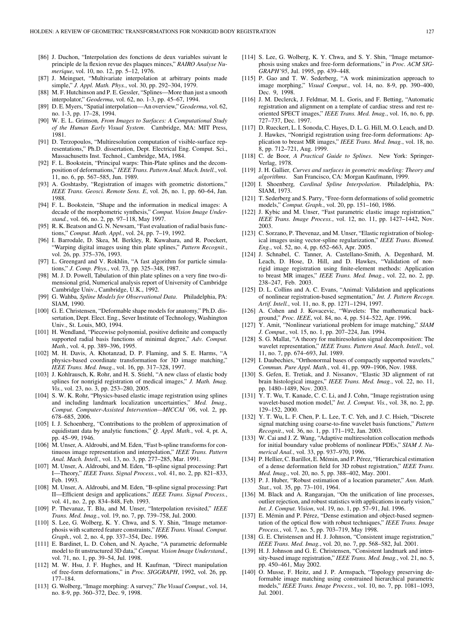- [86] J. Duchon, "Interpolation des fonctions de deux variables suivant le principle de la flexion revue des plaques minces," *RAIRO Analyse Numerique*, vol. 10, no. 12, pp. 5–12, 1976.
- [87] J. Meinguet, "Multivariate interpolation at arbitrary points made simple," *J. Appl. Math. Phys.*, vol. 30, pp. 292–304, 1979.
- [88] M. F. Hutchinson and P. E. Gessler, "Splines—More than just a smooth interpolator," *Geoderma*, vol. 62, no. 1-3, pp. 45–67, 1994.
- [89] D. E. Myers, "Spatial interpolation—An overview," *Geoderma*, vol. 62, no. 1-3, pp. 17–28, 1994.
- [90] W. E. L. Grimson*, From Images to Surfaces: A Computational Study of the Human Early Visual System*. Cambridge, MA: MIT Press, 1981.
- [91] D. Terzopoulos, "Multiresolution computation of visible-surface representations," Ph.D. dissertation, Dept. Electrical Eng. Comput. Sci., Massachusetts Inst. Technol., Cambridge, MA, 1984.
- [92] F. L. Bookstein, "Principal warps: Thin-Plate splines and the decomposition of deformations," *IEEE Trans. Pattern Anal. Mach. Intell.*, vol. 11, no. 6, pp. 567–585, Jun. 1989.
- [93] A. Goshtasby, "Registration of images with geometric distortions," *IEEE Trans. Geosci. Remote Sens. E*, vol. 26, no. 1, pp. 60–64, Jan. 1988.
- [94] F. L. Bookstein, "Shape and the information in medical images: A decade of the morphometric synthesis," *Comput. Vision Image Understand.*, vol. 66, no. 2, pp. 97–118, May 1997.
- [95] R. K. Beatson and G. N. Newsam, "Fast evaluation of radial basis functions," *Comput. Math. Appl.*, vol. 24, pp. 7–19, 1992.
- [96] I. Barrodale, D. Skea, M. Berkley, R. Kuwahara, and R. Poeckert, "Warping digital images using thin plate splines," *Pattern Recognit.*, vol. 26, pp. 375–376, 1993.
- [97] L. Greengard and V. Rokhlin, "A fast algorithm for particle simulations," *J. Comp. Phys.*, vol. 73, pp. 325–348, 1987.
- [98] M. J. D. Powell, Tabulation of thin plate splines on a very fine two-dimensional grid, Numerical analysis report of University of Cambridge Cambridge Univ., Cambridge, U.K., 1992.
- [99] G. Wahba*, Spline Models for Observational Data*. Philadelphia, PA: SIAM, 1990.
- [100] G. E. Christensen, "Deformable shape models for anatomy," Ph.D. dissertation, Dept. Elect. Eng., Sever Institute of Technology, Washington Univ., St. Louis, MO, 1994.
- [101] H. Wendland, "Piecewise polynomial, positive definite and compactly supported radial basis functions of minimal degree," *Adv. Comput. Math.*, vol. 4, pp. 389–396, 1995.
- [102] M. H. Davis, A. Khotanzad, D. P. Flaming, and S. E. Harms, "A physics-based coordinate transformation for 3D image matching," *IEEE Trans. Med. Imag.*, vol. 16, pp. 317–328, 1997.
- [103] J. Kohlrausch, K. Rohr, and H. S. Stiehl, "A new class of elastic body splines for nonrigid registration of medical images," *J. Math. Imag. Vis.*, vol. 23, no. 3, pp. 253–280, 2005.
- [104] S. W. K. Rohr, "Physics-based elastic image registration using splines and including landmark localization uncertainties," *Med. Imag., Comput. Computer-Assisted Intervention—MICCAI '06*, vol. 2, pp. 678–685, 2006.
- [105] I. J. Schoenberg, "Contributions to the problem of approximation of equidistant data by analytic functions," *Q. Appl. Math.*, vol. 4, pt. A, pp. 45–99, 1946.
- [106] M. Unser, A. Aldroubi, and M. Eden, "Fast b-spline transforms for continuous image representation and interpolation," *IEEE Trans. Pattern Anal. Mach. Intell.*, vol. 13, no. 3, pp. 277–285, Mar. 1991.
- [107] M. Unser, A. Aldroubi, and M. Eden, "B-spline signal processing: Part I—Theory," *IEEE Trans. Signal Process.*, vol. 41, no. 2, pp. 821–833, Feb. 1993.
- [108] M. Unser, A. Aldroubi, and M. Eden, "B-spline signal processing: Part II—Efficient design and applications," *IEEE Trans. Signal Process.*, vol. 41, no. 2, pp. 834–848, Feb. 1993.
- [109] P. Thevanaz, T. Blu, and M. Unser, "Interpolation revisited," *IEEE Trans. Med. Imag.*, vol. 19, no. 7, pp. 739–758, Jul. 2000.
- [110] S. Lee, G. Wolberg, K. Y. Chwa, and S. Y. Shin, "Image metamorphosis with scattered feature constraints," *IEEE Trans. Visual. Comput. Graph.*, vol. 2, no. 4, pp. 337–354, Dec. 1996.
- [111] E. Bardinet, L. D. Cohen, and N. Ayache, "A parametric deformable model to fit unstructured 3D data," *Comput. Vision Image Understand.*, vol. 71, no. 1, pp. 39–54, Jul. 1998.
- [112] M. W. Hsu, J. F. Hughes, and H. Kaufman, "Direct manipulation of free-form deformations," in *Proc. SIGGRAPH*, 1992, vol. 26, pp. 177–184.
- [113] G. Wolberg, "Image morphing: A survey," *The Visual Comput.*, vol. 14, no. 8-9, pp. 360–372, Dec. 9, 1998.
- [114] S. Lee, G. Wolberg, K. Y. Chwa, and S. Y. Shin, "Image metamorphosis using snakes and free-form deformations," in *Proc. ACM SIG-GRAPH'95*, Jul. 1995, pp. 439–448.
- [115] P. Gao and T. W. Sederberg, "A work minimization approach to image morphing," *Visual Comput.*, vol. 14, no. 8-9, pp. 390–400, Dec. 9, 1998.
- [116] J. M. Declerck, J. Feldmar, M. L. Goris, and F. Betting, "Automatic registration and alignment on a template of cardiac stress and rest reoriented SPECT images," *IEEE Trans. Med. Imag.*, vol. 16, no. 6, pp. 727–737, Dec. 1997.
- [117] D. Rueckert, L. I. Sonoda, C. Hayes, D. L. G. Hill, M. O. Leach, and D. J. Hawkes, "Nonrigid registration using free-form deformations: Application to breast MR images," *IEEE Trans. Med. Imag.*, vol. 18, no. 8, pp. 712–721, Aug. 1999.
- [118] C. de Boor*, A Practical Guide to Splines*. New York: Springer-Verlag, 1978.
- [119] J. H. Gallier*, Curves and surfaces in geometric modeling: Theory and algorithms*. San Francisco, CA: Morgan Kaufmann, 1999.
- [120] I. Shoenberg*, Cardinal Spline Interpolation*. Philadelphia, PA: SIAM, 1973.
- [121] T. Sederberg and S. Parry, "Free-form deformations of solid geometric models," *Comput. Graph.*, vol. 20, pp. 151–160, 1986.
- [122] J. Kybic and M. Unser, "Fast parametric elastic image registration," *IEEE Trans. Image Process.*, vol. 12, no. 11, pp. 1427–1442, Nov. 2003.
- [123] C. Sorzano, P. Thevenaz, and M. Unser, "Elastic registration of biological images using vector-spline regularization," *IEEE Trans. Biomed. Eng.*, vol. 52, no. 4, pp. 652–663, Apr. 2005.
- [124] J. Schnabel, C. Tanner, A. Castellano-Smith, A. Degenhard, M. Leach, D. Hose, D. Hill, and D. Hawkes, "Validation of nonrigid image registration using finite-element methods: Application to breast MR images," *IEEE Trans. Med. Imag.*, vol. 22, no. 2, pp. 238–247, Feb. 2003.
- [125] D. L. Collins and A. C. Evans, "Animal: Validation and applications of nonlinear registration-based segmentation," *Int. J. Pattern Recogn. Artif. Intell.*, vol. 11, no. 8, pp. 1271–1294, 1997.
- [126] A. Cohen and J. Kovacevic, "Wavelets: The mathematical background," *Proc. IEEE*, vol. 84, no. 4, pp. 514–522, Apr. 1996.
- [127] Y. Amit, "Nonlinear variational problem for image matching," *SIAM J. Comput.*, vol. 15, no. 1, pp. 207–224, Jan. 1994.
- [128] S. G. Mallat, "A theory for multiresolution signal decomposition: The wavelet representation," *IEEE Trans. Pattern Anal. Mach. Intell.*, vol. 11, no. 7, pp. 674–693, Jul. 1989.
- [129] I. Daubechies, "Orthonormal bases of compactly supported wavelets," *Commun. Pure Appl. Math.*, vol. 41, pp. 909–1906, Nov. 1988.
- [130] S. Gefen, E. Tretiak, and J. Nissanov, "Elastic 3D alignment of rat brain histological images," *IEEE Trans. Med. Imag.*, vol. 22, no. 11, pp. 1480–1489, Nov. 2003.
- [131] Y. T. Wu, T. Kanade, C. C. Li, and J. Cohn, "Image registration using wavelet-based motion model," *Int. J. Comput. Vis.*, vol. 38, no. 2, pp. 129–152, 2000.
- [132] Y. T. Wu, L. F. Chen, P. L. Lee, T. C. Yeh, and J. C. Hsieh, "Discrete signal matching using coarse-to-fine wavelet basis functions," *Pattern Recognit.*, vol. 36, no. 1, pp. 171–192, Jan. 2003.
- [133] W. Cai and J. Z. Wang, "Adaptive multiresolution collocation methods for initial boundary value problems of nonlinear PDEs," *SIAM J. Numerical Anal.*, vol. 33, pp. 937–970, 1996.
- [134] P. Hellier, C. Barillot, E. Mémin, and P. Pérez, "Hierarchical estimation of a dense deformation field for 3D robust registration," *IEEE Trans. Med. Imag.*, vol. 20, no. 5, pp. 388–402, May. 2001.
- [135] P. J. Huber, "Robust estimation of a location parameter," *Ann. Math. Stat.*, vol. 35, pp. 73–101, 1964.
- [136] M. Black and A. Rangarajan, "On the unification of line processes, outlier rejection, and robust statistics with applications in early vision," *Int. J. Comput. Vision*, vol. 19, no. 1, pp. 57–91, Jul. 1996.
- [137] E. Mémin and P. Pérez, "Dense estimation and object-based segmentation of the optical flow with robust techniques," *IEEE Trans. Image Process.*, vol. 7, no. 5, pp. 703–719, May 1998.
- [138] G. E. Christensen and H. J. Johnson, "Consistent image registration," *IEEE Trans. Med. Imag.*, vol. 20, no. 7, pp. 568–582, Jul. 2001.
- [139] H. J. Johnson and G. E. Christensen, "Consistent landmark and intensity-based image registration," *IEEE Trans. Med. Imag.*, vol. 21, no. 5, pp. 450–461, May 2002.
- [140] O. Musse, F. Heitz, and J. P. Armspach, "Topology preserving deformable image matching using constrained hierarchical parametric models," *IEEE Trans. Image Process.*, vol. 10, no. 7, pp. 1081–1093, Jul. 2001.